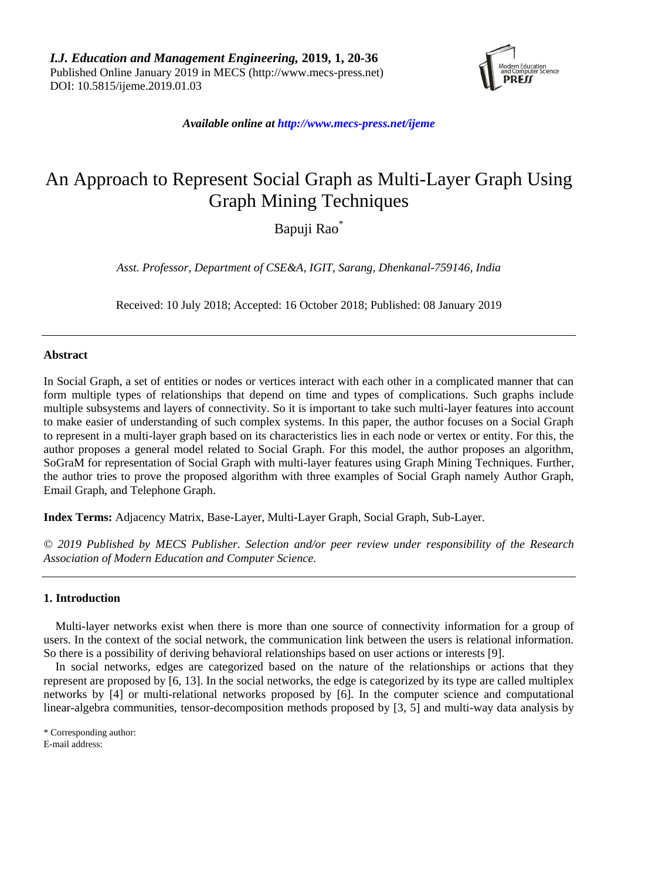

*Available online a[t http://www.mecs-press.net/ijeme](http://www.mecs-press.net/ijeme)*

# An Approach to Represent Social Graph as Multi-Layer Graph Using Graph Mining Techniques

Bapuji Rao\*

*Asst. Professor, Department of CSE&A, IGIT, Sarang, Dhenkanal-759146, India*

Received: 10 July 2018; Accepted: 16 October 2018; Published: 08 January 2019

# **Abstract**

In Social Graph, a set of entities or nodes or vertices interact with each other in a complicated manner that can form multiple types of relationships that depend on time and types of complications. Such graphs include multiple subsystems and layers of connectivity. So it is important to take such multi-layer features into account to make easier of understanding of such complex systems. In this paper, the author focuses on a Social Graph to represent in a multi-layer graph based on its characteristics lies in each node or vertex or entity. For this, the author proposes a general model related to Social Graph. For this model, the author proposes an algorithm, SoGraM for representation of Social Graph with multi-layer features using Graph Mining Techniques. Further, the author tries to prove the proposed algorithm with three examples of Social Graph namely Author Graph, Email Graph, and Telephone Graph.

**Index Terms:** Adjacency Matrix, Base-Layer, Multi-Layer Graph, Social Graph, Sub-Layer.

*© 2019 Published by MECS Publisher. Selection and/or peer review under responsibility of the Research Association of Modern Education and Computer Science.*

## **1. Introduction**

Multi-layer networks exist when there is more than one source of connectivity information for a group of users. In the context of the social network, the communication link between the users is relational information. So there is a possibility of deriving behavioral relationships based on user actions or interests [9].

In social networks, edges are categorized based on the nature of the relationships or actions that they represent are proposed by [6, 13]. In the social networks, the edge is categorized by its type are called multiplex networks by [4] or multi-relational networks proposed by [6]. In the computer science and computational linear-algebra communities, tensor-decomposition methods proposed by [3, 5] and multi-way data analysis by

\* Corresponding author: E-mail address: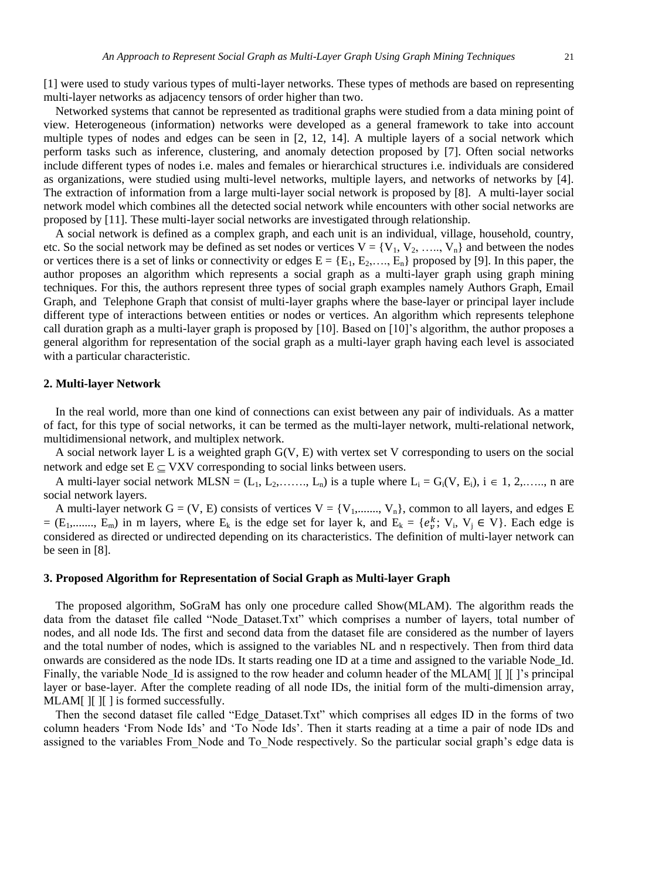[1] were used to study various types of multi-layer networks. These types of methods are based on representing multi-layer networks as adjacency tensors of order higher than two.

Networked systems that cannot be represented as traditional graphs were studied from a data mining point of view. Heterogeneous (information) networks were developed as a general framework to take into account multiple types of nodes and edges can be seen in [2, 12, 14]. A multiple layers of a social network which perform tasks such as inference, clustering, and anomaly detection proposed by [7]. Often social networks include different types of nodes i.e. males and females or hierarchical structures i.e. individuals are considered as organizations, were studied using multi-level networks, multiple layers, and networks of networks by [4]. The extraction of information from a large multi-layer social network is proposed by [8]. A multi-layer social network model which combines all the detected social network while encounters with other social networks are proposed by [11]. These multi-layer social networks are investigated through relationship.

A social network is defined as a complex graph, and each unit is an individual, village, household, country, etc. So the social network may be defined as set nodes or vertices  $V = \{V_1, V_2, \ldots, V_n\}$  and between the nodes or vertices there is a set of links or connectivity or edges  $E = \{E_1, E_2, \dots, E_n\}$  proposed by [9]. In this paper, the author proposes an algorithm which represents a social graph as a multi-layer graph using graph mining techniques. For this, the authors represent three types of social graph examples namely Authors Graph, Email Graph, and Telephone Graph that consist of multi-layer graphs where the base-layer or principal layer include different type of interactions between entities or nodes or vertices. An algorithm which represents telephone call duration graph as a multi-layer graph is proposed by [10]. Based on [10]'s algorithm, the author proposes a general algorithm for representation of the social graph as a multi-layer graph having each level is associated with a particular characteristic.

# **2. Multi-layer Network**

In the real world, more than one kind of connections can exist between any pair of individuals. As a matter of fact, for this type of social networks, it can be termed as the multi-layer network, multi-relational network, multidimensional network, and multiplex network.

A social network layer L is a weighted graph G(V, E) with vertex set V corresponding to users on the social network and edge set  $E \subseteq VXV$  corresponding to social links between users.

A multi-layer social network MLSN =  $(L_1, L_2, \ldots, L_n)$  is a tuple where  $L_i = G_i(V, E_i)$ ,  $i \in 1, 2, \ldots, n$  are social network layers.

A multi-layer network  $G = (V, E)$  consists of vertices  $V = \{V_1, \dots, V_n\}$ , common to all layers, and edges E = (E<sub>1</sub>,......, E<sub>m</sub>) in m layers, where E<sub>k</sub> is the edge set for layer k, and E<sub>k</sub> = { $e_v^k$ ; V<sub>i</sub>, V<sub>j</sub>  $\in$  V}. Each edge is considered as directed or undirected depending on its characteristics. The definition of multi-layer network can be seen in [8].

## **3. Proposed Algorithm for Representation of Social Graph as Multi-layer Graph**

The proposed algorithm, SoGraM has only one procedure called Show(MLAM). The algorithm reads the data from the dataset file called "Node\_Dataset.Txt" which comprises a number of layers, total number of nodes, and all node Ids. The first and second data from the dataset file are considered as the number of layers and the total number of nodes, which is assigned to the variables NL and n respectively. Then from third data onwards are considered as the node IDs. It starts reading one ID at a time and assigned to the variable Node\_Id. Finally, the variable Node Id is assigned to the row header and column header of the MLAM[  $\parallel$   $\parallel$   $\parallel$   $\parallel$ 's principal layer or base-layer. After the complete reading of all node IDs, the initial form of the multi-dimension array, MLAM[ ][ ][ ] is formed successfully.

Then the second dataset file called "Edge\_Dataset.Txt" which comprises all edges ID in the forms of two column headers 'From Node Ids' and 'To Node Ids'. Then it starts reading at a time a pair of node IDs and assigned to the variables From Node and To\_Node respectively. So the particular social graph's edge data is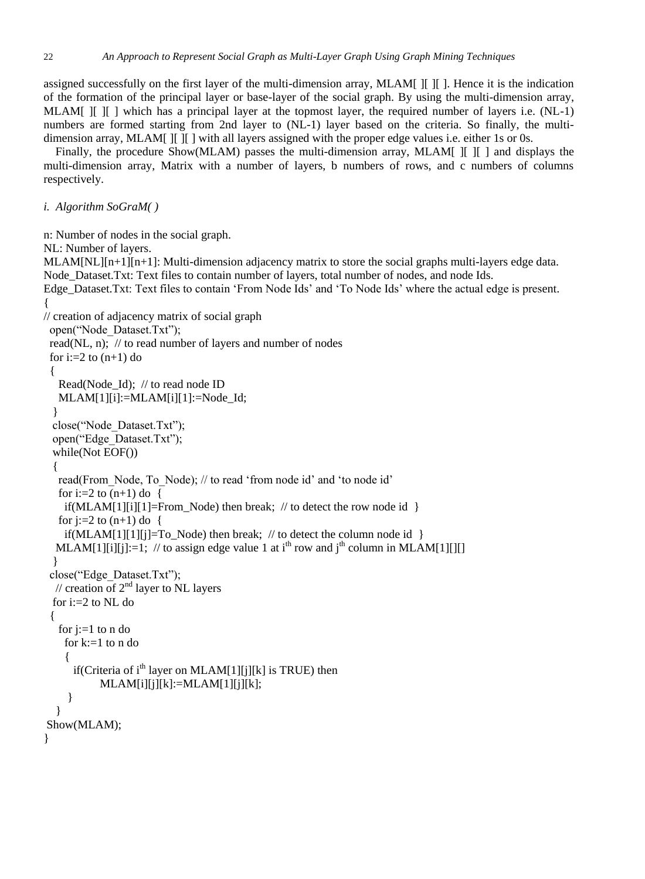assigned successfully on the first layer of the multi-dimension array, MLAM[ ][ ][ ]. Hence it is the indication of the formation of the principal layer or base-layer of the social graph. By using the multi-dimension array, MLAM[ ][ ][ ] which has a principal layer at the topmost layer, the required number of layers i.e. (NL-1) numbers are formed starting from 2nd layer to (NL-1) layer based on the criteria. So finally, the multidimension array, MLAM[ ][ ][ ] with all layers assigned with the proper edge values i.e. either 1s or 0s.

Finally, the procedure Show(MLAM) passes the multi-dimension array, MLAM[ I[ ][ ] and displays the multi-dimension array, Matrix with a number of layers, b numbers of rows, and c numbers of columns respectively.

```
i. Algorithm SoGraM( )
```

```
n: Number of nodes in the social graph.
NL: Number of layers.
MLAM[NL][n+1][n+1]: Multi-dimension adjacency matrix to store the social graphs multi-layers edge data.
Node_Dataset.Txt: Text files to contain number of layers, total number of nodes, and node Ids.
Edge_Dataset.Txt: Text files to contain 'From Node Ids' and 'To Node Ids' where the actual edge is present.
{ 
// creation of adjacency matrix of social graph
  open("Node_Dataset.Txt"); 
  read(NL, n); // to read number of layers and number of nodes
 for i:=2 to (n+1) do
 { 
    Read(Node_Id); // to read node ID
    MLAM[1][i]:=MLAM[i][1]:=Node_Id;
 }
  close("Node_Dataset.Txt");
   open("Edge_Dataset.Txt");
   while(Not EOF())
   {
   read(From Node, To Node); // to read 'from node id' and 'to node id'
   for i:=2 to (n+1) do {
     if(MLAM[1][i][1]=From_Node) then break; // to detect the row node id }
   for j:=2 to (n+1) do {
     if(MLAM[1][1][j]=To_Node) then break; // to detect the column node id }
  MLAM[1][i][i]:=1; // to assign edge value 1 at i<sup>th</sup> row and i<sup>th</sup> column in MLAM[1][][]
   }
  close("Edge_Dataset.Txt");
  // creation of 2<sup>nd</sup> layer to NL layers
  for i:=2 to NL do
  {
   for i:=1 to n do
     for k:=1 to n do 
    \left\{ \right.if(Criteria of i<sup>th</sup> layer on MLAM[1][j][k] is TRUE) then
            MLAM[i][j][k]:=MLAM[1][j][k]; }
   }
Show(MLAM);
}
```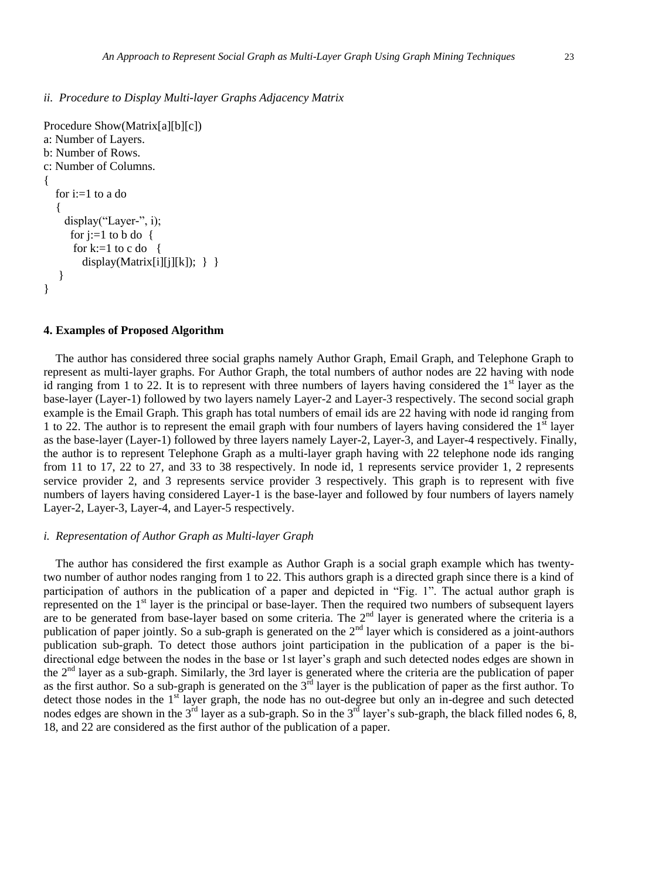*ii. Procedure to Display Multi-layer Graphs Adjacency Matrix*

```
Procedure Show(Matrix[a][b][c])
a: Number of Layers.
b: Number of Rows.
c: Number of Columns.
{
  for i:=1 to a do
   { 
    display("Layer-", i);
     for i:=1 to b do \{for k:=1 to c do {
        display(Matrix[i][j][k]); \} }
    }
}
```
#### **4. Examples of Proposed Algorithm**

The author has considered three social graphs namely Author Graph, Email Graph, and Telephone Graph to represent as multi-layer graphs. For Author Graph, the total numbers of author nodes are 22 having with node id ranging from 1 to 22. It is to represent with three numbers of layers having considered the  $1<sup>st</sup>$  layer as the base-layer (Layer-1) followed by two layers namely Layer-2 and Layer-3 respectively. The second social graph example is the Email Graph. This graph has total numbers of email ids are 22 having with node id ranging from 1 to 22. The author is to represent the email graph with four numbers of layers having considered the  $1<sup>st</sup>$  layer as the base-layer (Layer-1) followed by three layers namely Layer-2, Layer-3, and Layer-4 respectively. Finally, the author is to represent Telephone Graph as a multi-layer graph having with 22 telephone node ids ranging from 11 to 17, 22 to 27, and 33 to 38 respectively. In node id, 1 represents service provider 1, 2 represents service provider 2, and 3 represents service provider 3 respectively. This graph is to represent with five numbers of layers having considered Layer-1 is the base-layer and followed by four numbers of layers namely Layer-2, Layer-3, Layer-4, and Layer-5 respectively.

## *i. Representation of Author Graph as Multi-layer Graph*

The author has considered the first example as Author Graph is a social graph example which has twentytwo number of author nodes ranging from 1 to 22. This authors graph is a directed graph since there is a kind of participation of authors in the publication of a paper and depicted in "Fig. 1". The actual author graph is represented on the 1<sup>st</sup> layer is the principal or base-layer. Then the required two numbers of subsequent layers are to be generated from base-layer based on some criteria. The  $2<sup>nd</sup>$  layer is generated where the criteria is a publication of paper jointly. So a sub-graph is generated on the  $2<sup>nd</sup>$  layer which is considered as a joint-authors publication sub-graph. To detect those authors joint participation in the publication of a paper is the bidirectional edge between the nodes in the base or 1st layer's graph and such detected nodes edges are shown in the 2nd layer as a sub-graph. Similarly, the 3rd layer is generated where the criteria are the publication of paper as the first author. So a sub-graph is generated on the  $3^{rd}$  layer is the publication of paper as the first author. To detect those nodes in the 1<sup>st</sup> layer graph, the node has no out-degree but only an in-degree and such detected nodes edges are shown in the  $3^{rd}$  layer as a sub-graph. So in the  $3^{rd}$  layer's sub-graph, the black filled nodes 6, 8, 18, and 22 are considered as the first author of the publication of a paper.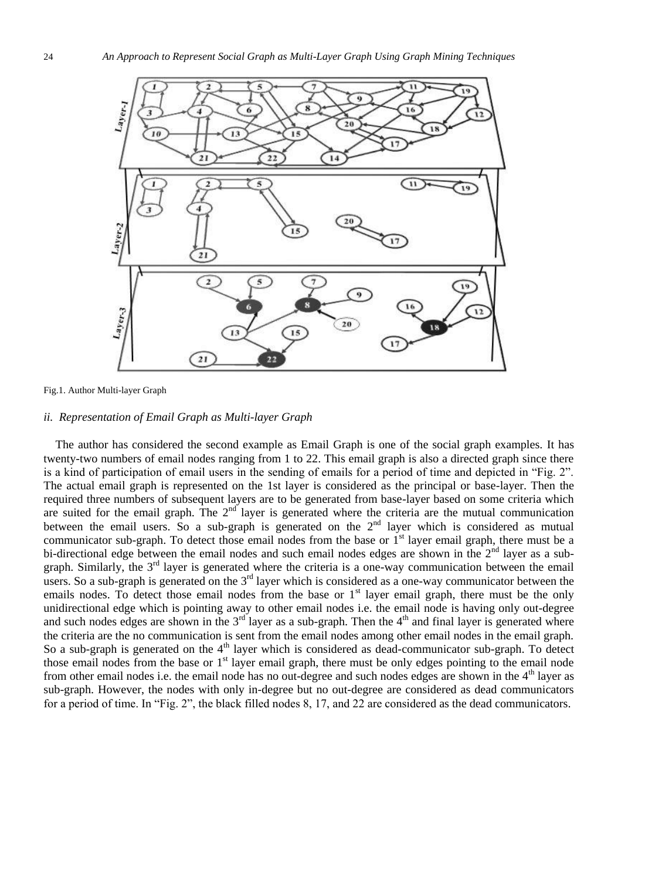

Fig.1. Author Multi-layer Graph

# *ii. Representation of Email Graph as Multi-layer Graph*

The author has considered the second example as Email Graph is one of the social graph examples. It has twenty-two numbers of email nodes ranging from 1 to 22. This email graph is also a directed graph since there is a kind of participation of email users in the sending of emails for a period of time and depicted in "Fig. 2". The actual email graph is represented on the 1st layer is considered as the principal or base-layer. Then the required three numbers of subsequent layers are to be generated from base-layer based on some criteria which are suited for the email graph. The  $2<sup>nd</sup>$  layer is generated where the criteria are the mutual communication between the email users. So a sub-graph is generated on the 2<sup>nd</sup> layer which is considered as mutual communicator sub-graph. To detect those email nodes from the base or 1<sup>st</sup> layer email graph, there must be a bi-directional edge between the email nodes and such email nodes edges are shown in the 2<sup>nd</sup> layer as a subgraph. Similarly, the 3rd layer is generated where the criteria is a one-way communication between the email users. So a sub-graph is generated on the  $3<sup>rd</sup>$  layer which is considered as a one-way communicator between the emails nodes. To detect those email nodes from the base or  $1<sup>st</sup>$  layer email graph, there must be the only unidirectional edge which is pointing away to other email nodes i.e. the email node is having only out-degree and such nodes edges are shown in the  $3<sup>rd</sup>$  layer as a sub-graph. Then the  $4<sup>th</sup>$  and final layer is generated where the criteria are the no communication is sent from the email nodes among other email nodes in the email graph. So a sub-graph is generated on the  $4<sup>th</sup>$  layer which is considered as dead-communicator sub-graph. To detect those email nodes from the base or  $1<sup>st</sup>$  layer email graph, there must be only edges pointing to the email node from other email nodes i.e. the email node has no out-degree and such nodes edges are shown in the 4<sup>th</sup> layer as sub-graph. However, the nodes with only in-degree but no out-degree are considered as dead communicators for a period of time. In "Fig. 2", the black filled nodes 8, 17, and 22 are considered as the dead communicators.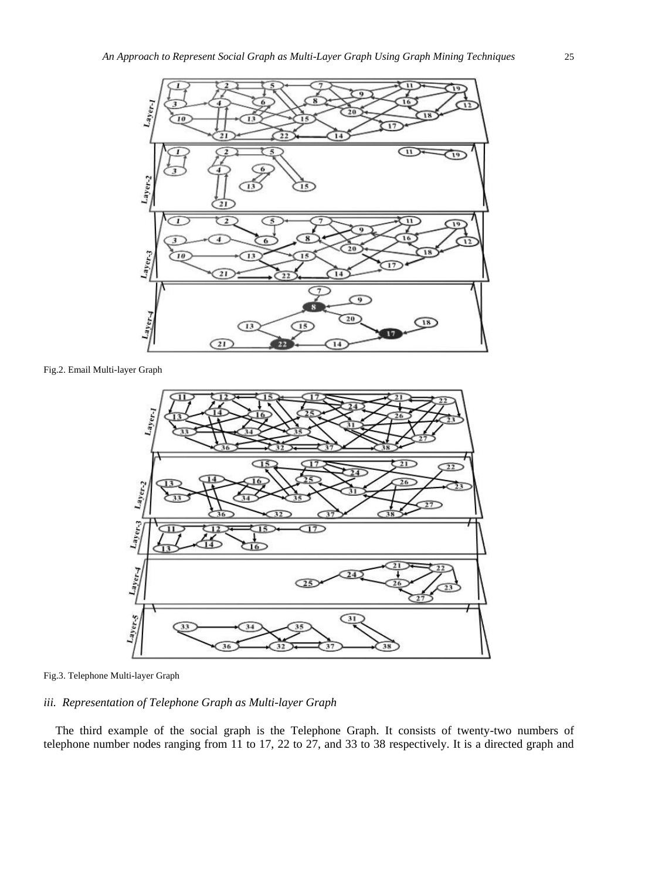

Fig.2. Email Multi-layer Graph



Fig.3. Telephone Multi-layer Graph

# *iii. Representation of Telephone Graph as Multi-layer Graph*

The third example of the social graph is the Telephone Graph. It consists of twenty-two numbers of telephone number nodes ranging from 11 to 17, 22 to 27, and 33 to 38 respectively. It is a directed graph and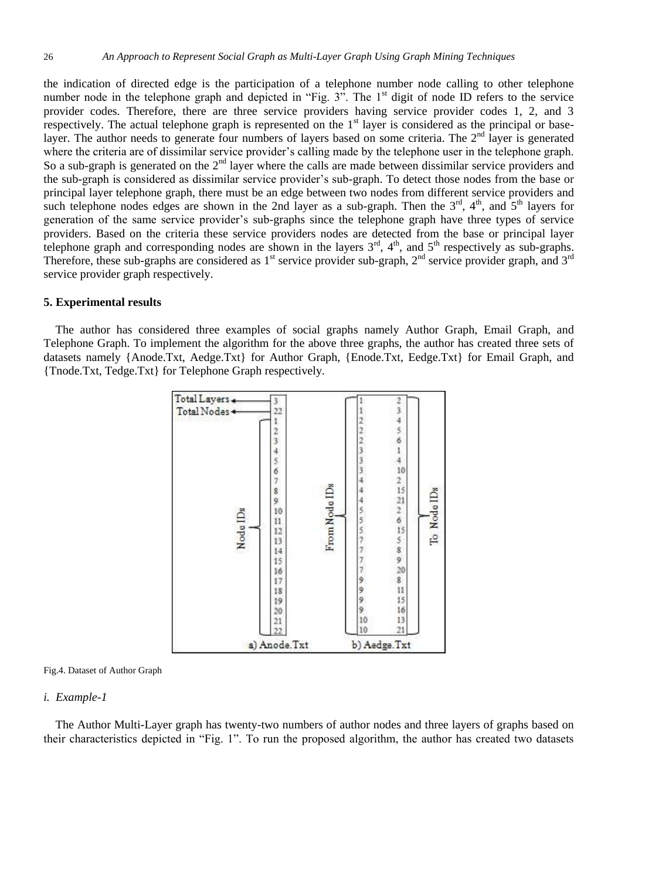the indication of directed edge is the participation of a telephone number node calling to other telephone number node in the telephone graph and depicted in "Fig. 3". The 1<sup>st</sup> digit of node ID refers to the service provider codes. Therefore, there are three service providers having service provider codes 1, 2, and 3 respectively. The actual telephone graph is represented on the 1<sup>st</sup> layer is considered as the principal or baselayer. The author needs to generate four numbers of layers based on some criteria. The 2<sup>nd</sup> layer is generated where the criteria are of dissimilar service provider's calling made by the telephone user in the telephone graph. So a sub-graph is generated on the 2<sup>nd</sup> layer where the calls are made between dissimilar service providers and the sub-graph is considered as dissimilar service provider's sub-graph. To detect those nodes from the base or principal layer telephone graph, there must be an edge between two nodes from different service providers and such telephone nodes edges are shown in the 2nd layer as a sub-graph. Then the  $3<sup>rd</sup>$ ,  $4<sup>th</sup>$ , and  $5<sup>th</sup>$  layers for generation of the same service provider's sub-graphs since the telephone graph have three types of service providers. Based on the criteria these service providers nodes are detected from the base or principal layer telephone graph and corresponding nodes are shown in the layers  $3<sup>rd</sup>$ ,  $4<sup>th</sup>$ , and  $5<sup>th</sup>$  respectively as sub-graphs. Therefore, these sub-graphs are considered as  $1<sup>st</sup>$  service provider sub-graph,  $2<sup>nd</sup>$  service provider graph, and  $3<sup>rd</sup>$ service provider graph respectively.

## **5. Experimental results**

The author has considered three examples of social graphs namely Author Graph, Email Graph, and Telephone Graph. To implement the algorithm for the above three graphs, the author has created three sets of datasets namely {Anode.Txt, Aedge.Txt} for Author Graph, {Enode.Txt, Eedge.Txt} for Email Graph, and {Tnode.Txt, Tedge.Txt} for Telephone Graph respectively.





#### *i. Example-1*

The Author Multi-Layer graph has twenty-two numbers of author nodes and three layers of graphs based on their characteristics depicted in "Fig. 1". To run the proposed algorithm, the author has created two datasets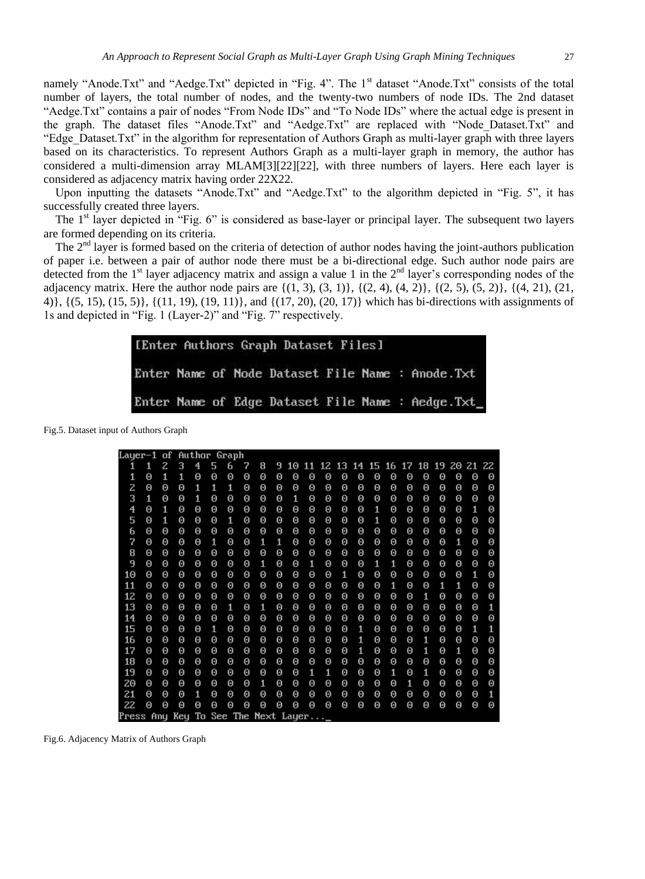namely "Anode.Txt" and "Aedge.Txt" depicted in "Fig. 4". The 1<sup>st</sup> dataset "Anode.Txt" consists of the total number of layers, the total number of nodes, and the twenty-two numbers of node IDs. The 2nd dataset "Aedge.Txt" contains a pair of nodes "From Node IDs" and "To Node IDs" where the actual edge is present in the graph. The dataset files "Anode.Txt" and "Aedge.Txt" are replaced with "Node\_Dataset.Txt" and "Edge\_Dataset.Txt" in the algorithm for representation of Authors Graph as multi-layer graph with three layers based on its characteristics. To represent Authors Graph as a multi-layer graph in memory, the author has considered a multi-dimension array MLAM[3][22][22], with three numbers of layers. Here each layer is considered as adjacency matrix having order 22X22.

Upon inputting the datasets "Anode.Txt" and "Aedge.Txt" to the algorithm depicted in "Fig. 5", it has successfully created three layers.

The  $1<sup>st</sup>$  layer depicted in "Fig. 6" is considered as base-layer or principal layer. The subsequent two layers are formed depending on its criteria.

The  $2<sup>nd</sup>$  layer is formed based on the criteria of detection of author nodes having the joint-authors publication of paper i.e. between a pair of author node there must be a bi-directional edge. Such author node pairs are detected from the  $1<sup>st</sup>$  layer adjacency matrix and assign a value 1 in the  $2<sup>nd</sup>$  layer's corresponding nodes of the adjacency matrix. Here the author node pairs are  $\{(1, 3), (3, 1)\}, \{(2, 4), (4, 2)\}, \{(2, 5), (5, 2)\}, \{(4, 21), (21, 1)\}$ 4)}, {(5, 15), (15, 5)}, {(11, 19), (19, 11)}, and {(17, 20), (20, 17)} which has bi-directions with assignments of 1s and depicted in "Fig. 1 (Layer-2)" and "Fig. 7" respectively.

|  |  | [Enter Authors Graph Dataset Files] |  |                                                   |
|--|--|-------------------------------------|--|---------------------------------------------------|
|  |  |                                     |  | Enter Name of Node Dataset File Name : Anode.Txt  |
|  |  |                                     |  | Enter Name of Edge Dataset File Name : Aedge. Txt |

Fig.5. Dataset input of Authors Graph

| 5<br>14 15 16 17 18 19 20 21 22<br>з<br>7<br>8<br>11 12 13<br>z<br>4<br>6<br>9<br>10<br>1<br>1<br>$\Theta$<br>$\Theta$<br>$\Theta$<br>1<br>1<br>1<br>$\Theta$<br>0<br>0<br>Θ<br>0<br>$\Theta$<br>0<br>0<br>$\Theta$<br>0<br>$\Theta$<br>$\Theta$<br>0<br>Θ<br>0<br>Θ<br>2<br>Θ<br>Θ<br>Θ<br>1<br>1<br>1<br>Θ<br>Θ<br>Θ<br>Θ<br>Θ<br>Θ<br>Θ<br>Θ<br>Θ<br>Θ<br>Θ<br>Θ<br>Θ<br>Θ<br>Θ<br>з<br>1<br>$\Theta$<br>$\Theta$<br>$\Theta$<br>0<br>Θ<br>Θ<br>1<br>Θ<br>Θ<br>1<br>Θ<br>Θ<br>0<br>Θ<br>Θ<br>Θ<br>Θ<br>Θ<br>Θ<br>Θ<br>4<br>Θ<br>1<br>Θ<br>Θ<br>Θ<br>Θ<br>Θ<br>Θ<br>Θ<br>1<br>0<br>Θ<br>Θ<br>Θ<br>Θ<br>Θ<br>Θ<br>1<br>Θ<br>Θ<br>Θ<br>5<br>$\Theta$<br>0<br>$\Theta$<br>1<br>0<br>Θ<br>1<br>0<br>Θ<br>0<br>Θ<br>$\Theta$<br>Θ<br>0<br>0<br>1<br>0<br>Θ<br>0<br>0<br>Θ<br>Θ<br>Θ<br>Θ<br>Θ<br>Θ<br>Θ<br>6<br>Θ<br>Θ<br>Θ<br>Θ<br>Θ<br>Θ<br>Θ<br>Θ<br>Θ<br>Θ<br>Θ<br>Θ<br>Θ<br>Θ<br>Θ<br>7<br>$\Theta$<br>Θ<br>Θ<br>1<br>$\Theta$<br>$\Theta$<br>1<br>1<br>$\Theta$<br>Θ<br>0<br>0<br>0<br>0<br>0<br>0<br>0<br>Θ<br>Θ<br>1<br>0<br>8<br>Θ<br>0<br>Θ<br>Θ<br>Θ<br>Θ<br>Θ<br>Θ<br>Θ<br>Θ<br>0<br>Θ<br>0<br>Θ<br>0<br>Θ<br>Θ<br>Θ<br>Θ<br>0<br>Θ<br>9<br>1<br>0<br>1<br>0<br>Θ<br>Θ<br>Θ<br>Θ<br>Θ<br>Θ<br>Θ<br>Θ<br>Θ<br>Θ<br>1<br>1<br>Θ<br>Θ<br>Θ<br>Θ<br>Θ<br>10<br>0<br>Θ<br>Θ<br>Θ<br>$\Theta$<br>Θ<br>Θ<br>Θ<br>Θ<br>0<br>Θ<br>1<br>0<br>Θ<br>0<br>Θ<br>Θ<br>1<br>Θ<br>0<br>0<br>$\Theta$<br>11<br>Θ<br>Θ<br>0<br>Θ<br>$\Theta$<br>Θ<br>Θ<br>0<br>Θ<br>$\Theta$<br>Θ<br>0<br>$\Theta$<br>0<br>$\mathbf{1}$<br>$\Theta$<br>0<br>1<br>1<br>0<br>12<br>Θ<br>Θ<br>Θ<br>Θ<br>Θ<br>1<br>Θ<br>Θ<br>Θ<br>Θ<br>Θ<br>Θ<br>Θ<br>Θ<br>Θ<br>Θ<br>Θ<br>Θ<br>Θ<br>Θ<br>Θ<br>13<br>$\Theta$<br>$\mathbf{1}$<br>0<br>1<br>0<br>Θ<br>0<br>0<br>Θ<br>Θ<br>Θ<br>0<br>Θ<br>Θ<br>Θ<br>Θ<br>Θ<br>Θ<br>0<br>Θ<br>Θ<br>14<br>Θ<br>Θ<br>Θ<br>Θ<br>Θ<br>$\Theta$<br>Θ<br>Θ<br>Θ<br>Θ<br>0<br>Θ<br>Θ<br>0<br>Θ<br>0<br>Θ<br>Θ<br>Θ<br>Θ<br>Θ<br>15<br>1<br>$\Theta$<br>Θ<br>Θ<br>0<br>1<br>$\boldsymbol{\Theta}$<br>0<br>0<br>$\Theta$<br>$\Theta$<br>$\Theta$<br>Θ<br>0<br>0<br>0<br>$\Theta$<br>0<br>0<br>1<br>Θ<br>$\Theta$<br>1<br>16<br>Θ<br>Θ<br>Θ<br>Θ<br>Θ<br>Θ<br>Θ<br>Θ<br>Θ<br>Θ<br>Θ<br>Θ<br>1<br>Θ<br>Θ<br>Θ<br>Θ<br>Θ<br>Θ | Θ<br>Θ<br>Θ<br>Θ<br>Θ |
|-----------------------------------------------------------------------------------------------------------------------------------------------------------------------------------------------------------------------------------------------------------------------------------------------------------------------------------------------------------------------------------------------------------------------------------------------------------------------------------------------------------------------------------------------------------------------------------------------------------------------------------------------------------------------------------------------------------------------------------------------------------------------------------------------------------------------------------------------------------------------------------------------------------------------------------------------------------------------------------------------------------------------------------------------------------------------------------------------------------------------------------------------------------------------------------------------------------------------------------------------------------------------------------------------------------------------------------------------------------------------------------------------------------------------------------------------------------------------------------------------------------------------------------------------------------------------------------------------------------------------------------------------------------------------------------------------------------------------------------------------------------------------------------------------------------------------------------------------------------------------------------------------------------------------------------------------------------------------------------------------------------------------------------------------------------------------------------------------------------------------------------------------------------------------------------------------------------------|-----------------------|
|                                                                                                                                                                                                                                                                                                                                                                                                                                                                                                                                                                                                                                                                                                                                                                                                                                                                                                                                                                                                                                                                                                                                                                                                                                                                                                                                                                                                                                                                                                                                                                                                                                                                                                                                                                                                                                                                                                                                                                                                                                                                                                                                                                                                                 |                       |
|                                                                                                                                                                                                                                                                                                                                                                                                                                                                                                                                                                                                                                                                                                                                                                                                                                                                                                                                                                                                                                                                                                                                                                                                                                                                                                                                                                                                                                                                                                                                                                                                                                                                                                                                                                                                                                                                                                                                                                                                                                                                                                                                                                                                                 |                       |
|                                                                                                                                                                                                                                                                                                                                                                                                                                                                                                                                                                                                                                                                                                                                                                                                                                                                                                                                                                                                                                                                                                                                                                                                                                                                                                                                                                                                                                                                                                                                                                                                                                                                                                                                                                                                                                                                                                                                                                                                                                                                                                                                                                                                                 |                       |
|                                                                                                                                                                                                                                                                                                                                                                                                                                                                                                                                                                                                                                                                                                                                                                                                                                                                                                                                                                                                                                                                                                                                                                                                                                                                                                                                                                                                                                                                                                                                                                                                                                                                                                                                                                                                                                                                                                                                                                                                                                                                                                                                                                                                                 |                       |
|                                                                                                                                                                                                                                                                                                                                                                                                                                                                                                                                                                                                                                                                                                                                                                                                                                                                                                                                                                                                                                                                                                                                                                                                                                                                                                                                                                                                                                                                                                                                                                                                                                                                                                                                                                                                                                                                                                                                                                                                                                                                                                                                                                                                                 |                       |
|                                                                                                                                                                                                                                                                                                                                                                                                                                                                                                                                                                                                                                                                                                                                                                                                                                                                                                                                                                                                                                                                                                                                                                                                                                                                                                                                                                                                                                                                                                                                                                                                                                                                                                                                                                                                                                                                                                                                                                                                                                                                                                                                                                                                                 |                       |
|                                                                                                                                                                                                                                                                                                                                                                                                                                                                                                                                                                                                                                                                                                                                                                                                                                                                                                                                                                                                                                                                                                                                                                                                                                                                                                                                                                                                                                                                                                                                                                                                                                                                                                                                                                                                                                                                                                                                                                                                                                                                                                                                                                                                                 | Θ                     |
|                                                                                                                                                                                                                                                                                                                                                                                                                                                                                                                                                                                                                                                                                                                                                                                                                                                                                                                                                                                                                                                                                                                                                                                                                                                                                                                                                                                                                                                                                                                                                                                                                                                                                                                                                                                                                                                                                                                                                                                                                                                                                                                                                                                                                 | Θ                     |
|                                                                                                                                                                                                                                                                                                                                                                                                                                                                                                                                                                                                                                                                                                                                                                                                                                                                                                                                                                                                                                                                                                                                                                                                                                                                                                                                                                                                                                                                                                                                                                                                                                                                                                                                                                                                                                                                                                                                                                                                                                                                                                                                                                                                                 | Θ                     |
|                                                                                                                                                                                                                                                                                                                                                                                                                                                                                                                                                                                                                                                                                                                                                                                                                                                                                                                                                                                                                                                                                                                                                                                                                                                                                                                                                                                                                                                                                                                                                                                                                                                                                                                                                                                                                                                                                                                                                                                                                                                                                                                                                                                                                 | Θ                     |
|                                                                                                                                                                                                                                                                                                                                                                                                                                                                                                                                                                                                                                                                                                                                                                                                                                                                                                                                                                                                                                                                                                                                                                                                                                                                                                                                                                                                                                                                                                                                                                                                                                                                                                                                                                                                                                                                                                                                                                                                                                                                                                                                                                                                                 | Θ                     |
|                                                                                                                                                                                                                                                                                                                                                                                                                                                                                                                                                                                                                                                                                                                                                                                                                                                                                                                                                                                                                                                                                                                                                                                                                                                                                                                                                                                                                                                                                                                                                                                                                                                                                                                                                                                                                                                                                                                                                                                                                                                                                                                                                                                                                 | Θ                     |
|                                                                                                                                                                                                                                                                                                                                                                                                                                                                                                                                                                                                                                                                                                                                                                                                                                                                                                                                                                                                                                                                                                                                                                                                                                                                                                                                                                                                                                                                                                                                                                                                                                                                                                                                                                                                                                                                                                                                                                                                                                                                                                                                                                                                                 | Θ                     |
|                                                                                                                                                                                                                                                                                                                                                                                                                                                                                                                                                                                                                                                                                                                                                                                                                                                                                                                                                                                                                                                                                                                                                                                                                                                                                                                                                                                                                                                                                                                                                                                                                                                                                                                                                                                                                                                                                                                                                                                                                                                                                                                                                                                                                 | 1                     |
|                                                                                                                                                                                                                                                                                                                                                                                                                                                                                                                                                                                                                                                                                                                                                                                                                                                                                                                                                                                                                                                                                                                                                                                                                                                                                                                                                                                                                                                                                                                                                                                                                                                                                                                                                                                                                                                                                                                                                                                                                                                                                                                                                                                                                 | 0                     |
|                                                                                                                                                                                                                                                                                                                                                                                                                                                                                                                                                                                                                                                                                                                                                                                                                                                                                                                                                                                                                                                                                                                                                                                                                                                                                                                                                                                                                                                                                                                                                                                                                                                                                                                                                                                                                                                                                                                                                                                                                                                                                                                                                                                                                 | 1                     |
|                                                                                                                                                                                                                                                                                                                                                                                                                                                                                                                                                                                                                                                                                                                                                                                                                                                                                                                                                                                                                                                                                                                                                                                                                                                                                                                                                                                                                                                                                                                                                                                                                                                                                                                                                                                                                                                                                                                                                                                                                                                                                                                                                                                                                 | Θ                     |
| 17<br>$\Theta$<br>0<br>$\Theta$<br>Θ<br>$\Theta$<br>$\Theta$<br>$\Theta$<br>0<br>0<br>0<br>$\Theta$<br>$\Theta$<br>Θ<br>0<br>1<br>$\Theta$<br>1<br>1<br>Θ<br>Θ<br>Θ                                                                                                                                                                                                                                                                                                                                                                                                                                                                                                                                                                                                                                                                                                                                                                                                                                                                                                                                                                                                                                                                                                                                                                                                                                                                                                                                                                                                                                                                                                                                                                                                                                                                                                                                                                                                                                                                                                                                                                                                                                             | Θ                     |
| 18<br>0<br>Θ<br>Θ<br>Θ<br>$\Theta$<br>Θ<br>Θ<br>Θ<br>Θ<br>0<br>Θ<br>Θ<br>0<br>Θ<br>0<br>0<br>0<br>0<br>Θ<br>Θ<br>Θ                                                                                                                                                                                                                                                                                                                                                                                                                                                                                                                                                                                                                                                                                                                                                                                                                                                                                                                                                                                                                                                                                                                                                                                                                                                                                                                                                                                                                                                                                                                                                                                                                                                                                                                                                                                                                                                                                                                                                                                                                                                                                              | Θ                     |
| 19<br>$\Theta$<br>Θ<br>$\Theta$<br>0<br>0<br>1<br>1<br>$\Theta$<br>$\mathbf{1}$<br>$\Theta$<br>1<br>0<br>Θ<br>0<br>0<br>Θ<br>Θ<br>0<br>Θ<br>Θ<br>Θ                                                                                                                                                                                                                                                                                                                                                                                                                                                                                                                                                                                                                                                                                                                                                                                                                                                                                                                                                                                                                                                                                                                                                                                                                                                                                                                                                                                                                                                                                                                                                                                                                                                                                                                                                                                                                                                                                                                                                                                                                                                              | Θ                     |
| $\theta$<br>$\Theta$<br>$\theta$<br>$\Theta$<br>1<br>20<br>Θ<br>Θ<br>Θ<br>Θ<br>$\Theta$<br>Θ<br>1<br>Θ<br>Θ<br>0<br>Θ<br>0<br>Θ<br>0<br>Θ<br>Θ                                                                                                                                                                                                                                                                                                                                                                                                                                                                                                                                                                                                                                                                                                                                                                                                                                                                                                                                                                                                                                                                                                                                                                                                                                                                                                                                                                                                                                                                                                                                                                                                                                                                                                                                                                                                                                                                                                                                                                                                                                                                  | 0                     |
| 21<br>$\Theta$<br>Θ<br>$\Theta$<br>1<br>$\Theta$<br>$\Theta$<br>$\Theta$<br>0<br>Θ<br>0<br>$\Theta$<br>$\Theta$<br>0<br>0<br>$\Theta$<br>0<br>0<br>Θ<br>Θ<br>Θ<br>0                                                                                                                                                                                                                                                                                                                                                                                                                                                                                                                                                                                                                                                                                                                                                                                                                                                                                                                                                                                                                                                                                                                                                                                                                                                                                                                                                                                                                                                                                                                                                                                                                                                                                                                                                                                                                                                                                                                                                                                                                                             | 1                     |
| $\Theta$<br>22<br>Θ<br>Θ<br>Θ<br>Θ<br>Θ<br>Θ<br>Θ<br>Θ<br>Θ<br>Θ<br>Θ<br>Θ<br>Θ<br>Θ<br>Θ<br>Θ<br>Θ<br>Θ<br>Θ<br>Θ                                                                                                                                                                                                                                                                                                                                                                                                                                                                                                                                                                                                                                                                                                                                                                                                                                                                                                                                                                                                                                                                                                                                                                                                                                                                                                                                                                                                                                                                                                                                                                                                                                                                                                                                                                                                                                                                                                                                                                                                                                                                                              | Θ                     |
| Key To See The Next Layer<br>Any<br>Press                                                                                                                                                                                                                                                                                                                                                                                                                                                                                                                                                                                                                                                                                                                                                                                                                                                                                                                                                                                                                                                                                                                                                                                                                                                                                                                                                                                                                                                                                                                                                                                                                                                                                                                                                                                                                                                                                                                                                                                                                                                                                                                                                                       |                       |

Fig.6. Adjacency Matrix of Authors Graph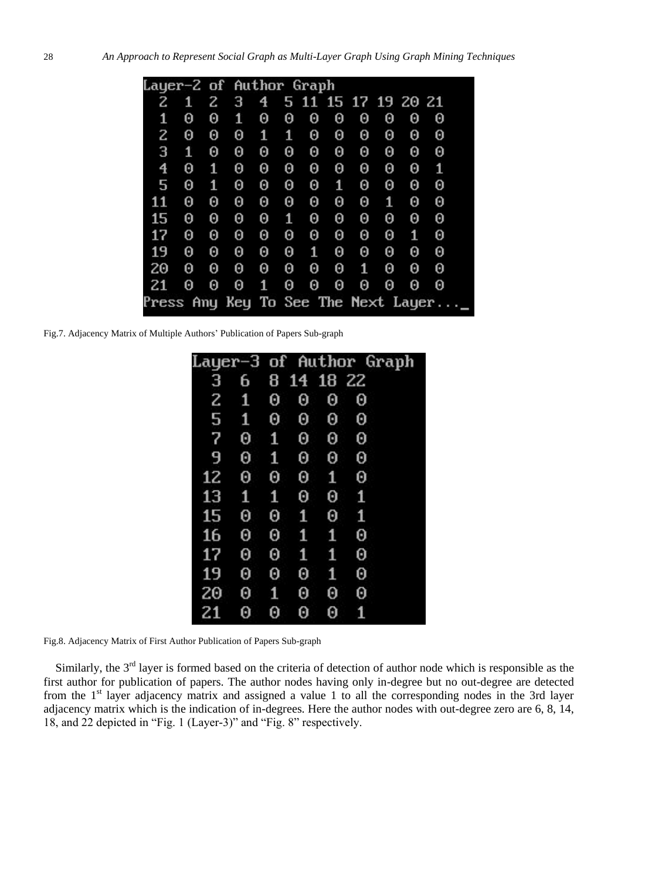|                                     | Layer-2 of Author Graph |   |   |   |   |   |                     |   |   |   |   |  |  |  |
|-------------------------------------|-------------------------|---|---|---|---|---|---------------------|---|---|---|---|--|--|--|
|                                     |                         |   |   |   |   |   |                     |   |   |   |   |  |  |  |
| 2                                   | 1                       | 2 | З | 4 |   |   | 5 11 15 17 19 20 21 |   |   |   |   |  |  |  |
| 1                                   | 0                       | 0 | 1 | 0 | 0 | 0 | 0                   | 0 | 0 | 0 | 0 |  |  |  |
| 2                                   | 0                       | 0 | 0 | 1 | 1 | Θ | 0                   | 0 | Θ | Θ | Θ |  |  |  |
| З                                   | 1                       | Θ | 0 | Θ | 0 | 0 | 0                   | 0 | 0 | 0 | 0 |  |  |  |
| 4                                   | 0                       | 1 | Θ | Θ | 0 | Θ | 0                   | Θ | Θ | 0 | 1 |  |  |  |
| 5                                   | 0                       | 1 | Θ | 0 | 0 | Θ | 1                   | 0 | 0 | 0 | 0 |  |  |  |
| 11                                  | 0                       | Θ | Θ | Θ | 0 | 0 | 0                   | 0 | 1 | 0 | 0 |  |  |  |
| 15                                  | 0                       | Θ | Θ | Θ | 1 | Θ | 0                   | Θ | Θ | 0 | Θ |  |  |  |
| 17                                  | 0                       | Θ | Θ | Θ | Θ | Θ | 0                   | Θ | Θ | 1 | 0 |  |  |  |
| 19                                  | 0                       | Θ | Θ | 0 | 0 | 1 | 0                   | 0 | 0 | 0 | 0 |  |  |  |
| 20                                  | 0                       | Θ | 0 | Θ | 0 | 0 | 0                   | 1 | 0 | 0 | 0 |  |  |  |
| 21                                  | 0                       | Θ | Θ | 1 | 0 | 0 | 0                   | 0 | 0 | 0 | 0 |  |  |  |
| Press Any Key To See The Next Layer |                         |   |   |   |   |   |                     |   |   |   |   |  |  |  |

Fig.7. Adjacency Matrix of Multiple Authors' Publication of Papers Sub-graph

| Layer-3 |   |   |    |    | of Author Graph |
|---------|---|---|----|----|-----------------|
| З       | 6 | 8 | 14 | 18 | -22             |
| 2       | 1 | 0 | 0  | 0  | 0               |
| 5       | 1 | Θ | 0  | 0  | Θ               |
| 7       | 0 | 1 | 0  | 0  | Θ               |
| 9       | Θ | 1 | Θ  | Θ  | Θ               |
| 12      | 0 | 0 | Θ  | 1  | Θ               |
| 13      | 1 | 1 | 0  | Θ  | 1               |
| 15      | 0 | 0 | 1  | Θ  | 1               |
| 16      | Θ | 0 | 1  | 1  | Θ               |
| 17      | 0 | 0 | 1  | 1  | Θ               |
| 19      | 0 | 0 | Θ  | 1  | Θ               |
| 20      | 0 | 1 | 0  | 0  | Θ               |
| 21      | 0 | 0 | Θ  | Θ  | 1               |

Fig.8. Adjacency Matrix of First Author Publication of Papers Sub-graph

Similarly, the 3<sup>rd</sup> layer is formed based on the criteria of detection of author node which is responsible as the first author for publication of papers. The author nodes having only in-degree but no out-degree are detected from the 1<sup>st</sup> layer adjacency matrix and assigned a value 1 to all the corresponding nodes in the 3rd layer adjacency matrix which is the indication of in-degrees. Here the author nodes with out-degree zero are 6, 8, 14, 18, and 22 depicted in "Fig. 1 (Layer-3)" and "Fig. 8" respectively.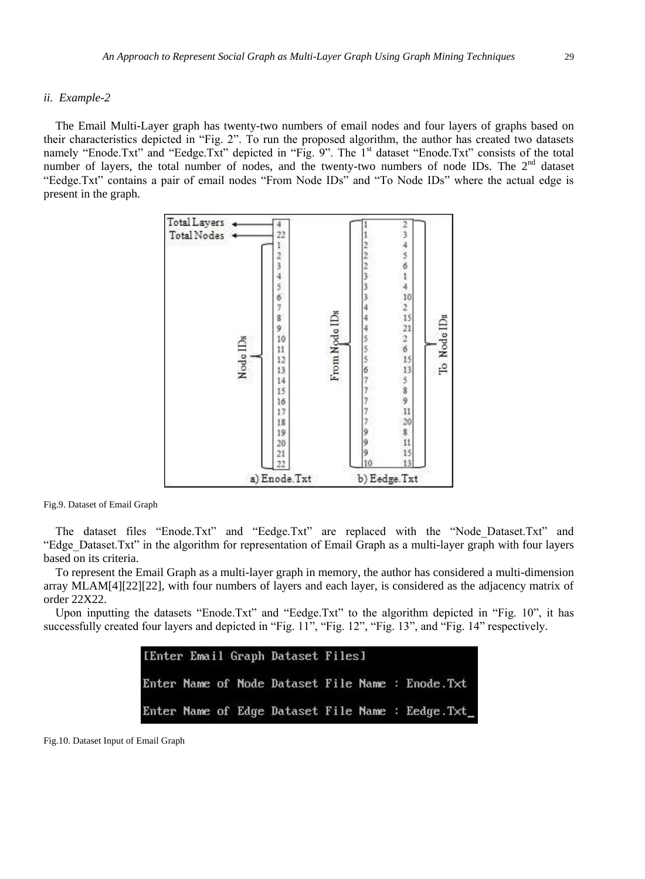# *ii. Example-2*

The Email Multi-Layer graph has twenty-two numbers of email nodes and four layers of graphs based on their characteristics depicted in "Fig. 2". To run the proposed algorithm, the author has created two datasets namely "Enode.Txt" and "Eedge.Txt" depicted in "Fig. 9". The 1<sup>st</sup> dataset "Enode.Txt" consists of the total number of layers, the total number of nodes, and the twenty-two numbers of node IDs. The 2<sup>nd</sup> dataset "Eedge.Txt" contains a pair of email nodes "From Node IDs" and "To Node IDs" where the actual edge is present in the graph.



Fig.9. Dataset of Email Graph

The dataset files "Enode.Txt" and "Eedge.Txt" are replaced with the "Node\_Dataset.Txt" and "Edge\_Dataset.Txt" in the algorithm for representation of Email Graph as a multi-layer graph with four layers based on its criteria.

To represent the Email Graph as a multi-layer graph in memory, the author has considered a multi-dimension array MLAM[4][22][22], with four numbers of layers and each layer, is considered as the adjacency matrix of order 22X22.

Upon inputting the datasets "Enode.Txt" and "Eedge.Txt" to the algorithm depicted in "Fig. 10", it has successfully created four layers and depicted in "Fig. 11", "Fig. 12", "Fig. 13", and "Fig. 14" respectively.

|  |  | [Enter Email Graph Dataset Files] |  |                                                  |
|--|--|-----------------------------------|--|--------------------------------------------------|
|  |  |                                   |  | Enter Name of Node Dataset File Name : Enode.Txt |
|  |  |                                   |  | Enter Name of Edge Dataset File Name : Eedge.Txt |

Fig.10. Dataset Input of Email Graph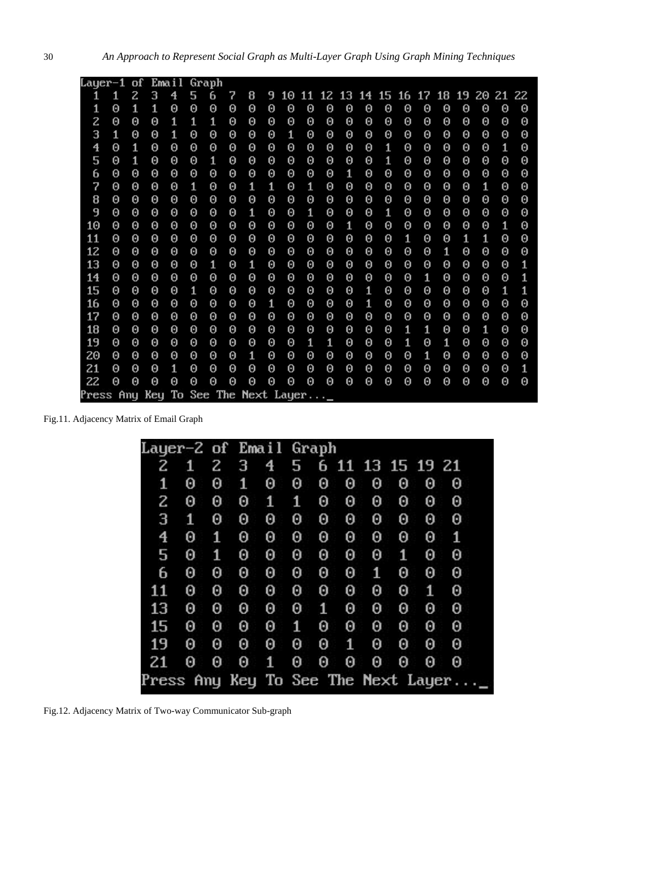| Layer-1                              |   | of | Email |   |   | Graph |   |   |                       |    |   |   |                                     |          |   |                       |   |   |          |   |   |   |
|--------------------------------------|---|----|-------|---|---|-------|---|---|-----------------------|----|---|---|-------------------------------------|----------|---|-----------------------|---|---|----------|---|---|---|
| 1                                    | 1 | z  | 3     | 4 | 5 | 6     | 7 | 8 | 9                     | 10 |   |   | 11 12 13 14 15 16 17 18 19 20 21 22 |          |   |                       |   |   |          |   |   |   |
| 1                                    | Θ | 1  | 1     | Θ | Θ | Θ     | Θ | Θ | Θ                     | Θ  | Θ | Θ | Θ                                   | $\Theta$ | Θ | 0                     | Θ | Θ | 0        | Θ | 0 | Θ |
| 2                                    | Θ | Θ  | 0     | 1 | 1 | 1     | Θ | Θ | $\boldsymbol{\Theta}$ | Θ  | Θ | Θ | Θ                                   | Θ        | Θ | $\Theta$              | Θ | Θ | $\Theta$ | Θ | Θ | Θ |
| 3                                    | 1 | Θ  | Θ     | 1 | Θ | Θ     | Θ | Θ | Θ                     | 1  | Θ | Θ | Θ                                   | Θ        | Θ | $\boldsymbol{\Theta}$ | Θ | Θ | $\Theta$ | Θ | Θ | Θ |
| 4                                    | Θ | 1  | Θ     | Θ | Θ | Θ     | Θ | Θ | Θ                     | Θ  | Θ | Θ | Θ                                   | Θ        | 1 | Θ                     | Θ | Θ | Θ        | Θ | 1 | Θ |
| 5                                    | Θ | 1  | 0     | Θ | Θ | 1     | Θ | Θ | $\boldsymbol{\Theta}$ | Θ  | Θ | Θ | Θ                                   | $\Theta$ | 1 | $\Theta$              | Θ | Θ | Θ        | Θ | Θ | Θ |
| 6                                    | Θ | Θ  | Θ     | Θ | 0 | Θ     | Θ | Θ | $\boldsymbol{\Theta}$ | Θ  | Θ | Θ | 1                                   | Θ        | Θ | Θ                     | Θ | Θ | $\Theta$ | Θ | Θ | 0 |
| 7                                    | Θ | Θ  | Θ     | Θ | 1 | Θ     | Θ | 1 | 1                     | Θ  | 1 | Θ | Θ                                   | Θ        | Θ | Θ                     | Θ | Θ | Θ        | 1 | Θ | 0 |
| 8                                    | Θ | Θ  | 0     | Θ | 0 | Θ     | 0 | Θ | $\Theta$              | Θ  | Θ | Θ | Θ                                   | Θ        | 0 | Θ                     | Θ | Θ | Θ        | Θ | Θ | 0 |
| 9                                    | Θ | Θ  | 0     | Θ | Θ | Θ     | Θ | 1 | $\Theta$              | Θ  | 1 | Θ | Θ                                   | Θ        | 1 | $\Theta$              | Θ | Θ | Θ        | Θ | Θ | Θ |
| 10                                   | Θ | Θ  | Θ     | Θ | Θ | Θ     | Θ | Θ | Θ                     | Θ  | Θ | Θ | 1                                   | Θ        | Θ | Θ                     | Θ | Θ | Θ        | Θ | 1 | Θ |
| 11                                   | Θ | Θ  | Θ     | Θ | Θ | Θ     | 0 | Θ | Θ                     | Θ  | Θ | Θ | Θ                                   | $\Theta$ | Θ | 1                     | Θ | Θ | 1        | 1 | Θ | 0 |
| 12                                   | Θ | Θ  | Θ     | Θ | Θ | Θ     | Θ | Θ | $\boldsymbol{\Theta}$ | Θ  | Θ | Θ | Θ                                   | Θ        | Θ | Θ                     | Θ | 1 | Θ        | Θ | Θ | Θ |
| 13                                   | Θ | Θ  | Θ     | Θ | Θ | 1     | Θ | 1 | 0                     | Θ  | Θ | Θ | Θ                                   | Θ        | Θ | Θ                     | Θ | Θ | Θ        | Θ | Θ | 1 |
| 14                                   | Θ | Θ  | Θ     | Θ | Θ | Θ     | Θ | Θ | Θ                     | Θ  | Θ | Θ | Θ                                   | Θ        | Θ | Θ                     | 1 | Θ | Θ        | Θ | Θ | 1 |
| 15                                   | Θ | Θ  | Θ     | Θ | 1 | Θ     | Θ | Θ | 0                     | Θ  | 0 | Θ | Θ                                   | 1        | Θ | Θ                     | Θ | Θ | 0        | Θ | 1 | 1 |
| 16                                   | Θ | Θ  | Θ     | Θ | Θ | Θ     | Θ | Θ | 1                     | Θ  | Θ | Θ | Θ                                   | 1        | Θ | Θ                     | Θ | Θ | Θ        | Θ | Θ | Θ |
| 17                                   | Θ | Θ  | Θ     | Θ | Θ | Θ     | Θ | Θ | Θ                     | Θ  | Θ | Θ | Θ                                   | Θ        | Θ | Θ                     | Θ | Θ | Θ        | Θ | Θ | Θ |
| 18                                   | Θ | Θ  | Θ     | Θ | Θ | Θ     | Θ | Θ | Θ                     | Θ  | Θ | Θ | Θ                                   | Θ        | Θ | 1                     | 1 | Θ | Θ        | 1 | Θ | Θ |
| 19                                   | Θ | Θ  | Θ     | Θ | Θ | Θ     | Θ | Θ | 0                     | Θ  | 1 | 1 | Θ                                   | 0        | Θ | 1                     | Θ | 1 | Θ        | Θ | Θ | Θ |
| 20                                   | Θ | Θ  | Θ     | Θ | Θ | Θ     | Θ | 1 | Θ                     | Θ  | Θ | Θ | Θ                                   | Θ        | Θ | Θ                     | 1 | Θ | Θ        | Θ | Θ | Θ |
| 21                                   | Θ | Θ  | Θ     | 1 | Θ | Θ     | Θ | Θ | Θ                     | Θ  | Θ | Θ | Θ                                   | Θ        | Θ | Θ                     | Θ | Θ | $\Theta$ | Θ | Θ | 1 |
| 22                                   | Θ | Θ  | Θ     | Θ | Θ | Θ     | Θ | Θ | $\boldsymbol{\Theta}$ | Θ  | Θ | Θ | Θ                                   | Θ        | Θ | Θ                     | Θ | Θ | Θ        | Θ | Θ | Θ |
| Press Any Key To See The Next Layer_ |   |    |       |   |   |       |   |   |                       |    |   |   |                                     |          |   |                       |   |   |          |   |   |   |

Fig.11. Adjacency Matrix of Email Graph

| Layer-2 of Email Graph |   |   |   |   |   |   |                  |   |   |   |                                     |
|------------------------|---|---|---|---|---|---|------------------|---|---|---|-------------------------------------|
| 2                      | 1 | 2 | З | 4 | 5 |   | 6 11 13 15 19 21 |   |   |   |                                     |
| 1                      | Θ | 0 | 1 | 0 | 0 | 0 | 0                | 0 | 0 | 0 | 0                                   |
| 2                      | Θ | 0 | Θ | 1 | 1 | 0 | 0                | 0 | 0 | 0 | 0                                   |
| З                      | 1 | 0 | 0 | 0 | 0 | 0 | 0                | 0 | 0 | 0 | 0                                   |
| 4                      | 0 | 1 | 0 | 0 | 0 | 0 | 0                | 0 | 0 | 0 | 1                                   |
| 5                      | 0 | 1 | 0 | 0 | 0 | 0 | 0                | 0 | 1 | 0 | 0                                   |
| 6                      | 0 | 0 | Θ | 0 | 0 | 0 | 0                | 1 | 0 | 0 | 0                                   |
| 11                     | Θ | 0 | 0 | 0 | 0 | 0 | 0                | 0 | 0 | 1 | 0                                   |
| 13                     | 0 | 0 | 0 | 0 | 0 | 1 | 0                | 0 | 0 | 0 | 0                                   |
| 15                     | 0 | 0 | 0 | 0 | 1 | 0 | 0                | 0 | 0 | 0 | 0                                   |
| 19                     | 0 | 0 | 0 | 0 | 0 | 0 | 1                | 0 | 0 | 0 | 0                                   |
| 21                     | 0 | 0 | 0 | 1 | Θ | 0 | 0                | 0 | 0 | 0 | 0                                   |
|                        |   |   |   |   |   |   |                  |   |   |   | Press Any Key To See The Next Layer |

Fig.12. Adjacency Matrix of Two-way Communicator Sub-graph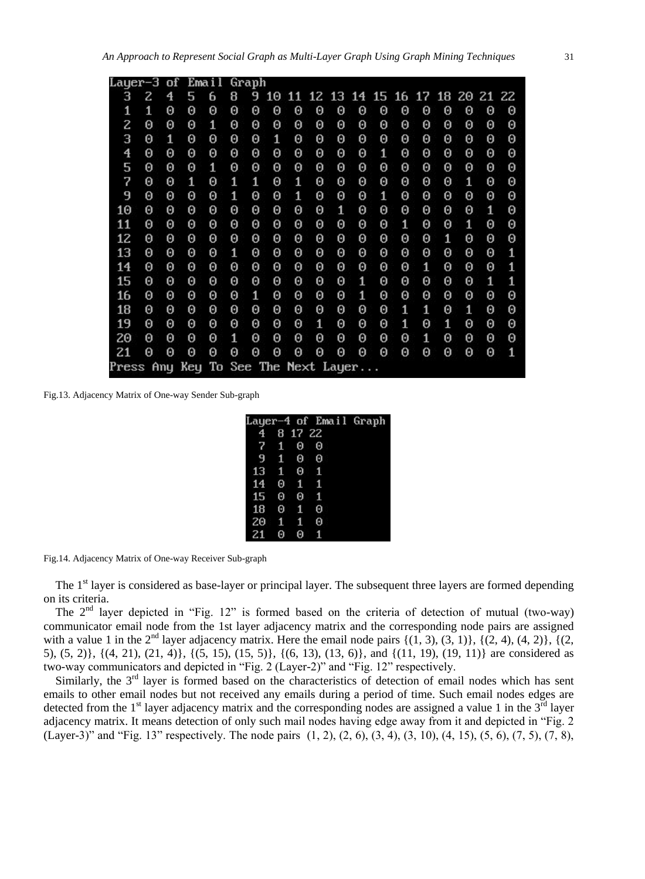| Layer-3                 |   | of | Email                         |   |   | Graph |    |    |   |       |    |       |   |    |    |    |       |   |
|-------------------------|---|----|-------------------------------|---|---|-------|----|----|---|-------|----|-------|---|----|----|----|-------|---|
| з                       | 2 | 4  | 5                             | 6 | 8 | 9     | 10 | 11 |   | 12 13 | 14 | 15 16 |   | 17 | 18 | 20 | 21 22 |   |
| 1                       | 1 | Θ  | 0                             | 0 | 0 | 0     | 0  | Θ  | 0 | 0     | Θ  | 0     | 0 | Θ  | Θ  | Θ  | Θ     | Θ |
| 2                       | 0 | Θ  | Θ                             | 1 | 0 | 0     | 0  | Θ  | Θ | 0     | 0  | Θ     | Θ | Θ  | 0  | Θ  | 0     | 0 |
| З                       | 0 | 1  | 0                             | 0 | 0 | 0     | 1  | Θ  | 0 | 0     | 0  | 0     | 0 | 0  | 0  | Θ  | Θ     | 0 |
| $\overline{\mathbf{4}}$ | Θ | Θ  | 0                             | 0 | 0 | 0     | 0  | Θ  | 0 | 0     | 0  | 1     | Θ | Θ  | Θ  | Θ  | Θ     | 0 |
| 5                       | 0 | Θ  | 0                             | 1 | 0 | 0     | 0  | Θ  | Θ | 0     | 0  | 0     | 0 | 0  | 0  | Θ  | Θ     | 0 |
| 7                       | Θ | Θ  | 1                             | 0 | 1 | 1     | 0  | 1  | Θ | 0     | 0  | 0     | Θ | Θ  | 0  | 1  | Θ     | 0 |
| 9                       | 0 | Θ  | Θ                             | 0 | 1 | 0     | 0  | 1  | Θ | Θ     | 0  | 1     | 0 | 0  | Θ  | Θ  | Θ     | 0 |
| 10                      | Θ | Θ  | Θ                             | 0 | 0 | 0     | 0  | Θ  | Θ | 1     | 0  | 0     | Θ | Θ  | Θ  | Θ  | 1     | 0 |
| 11                      | 0 | Θ  | Θ                             | 0 | 0 | 0     | 0  | Θ  | Θ | Θ     | 0  | 0     | 1 | Θ  | Θ  | 1  | Θ     | 0 |
| 12                      | Θ | Θ  | Θ                             | Θ | 0 | 0     | 0  | Θ  | Θ | 0     | 0  | Θ     | Θ | Θ  | 1  | Θ  | 0     | 0 |
| 13                      | Θ | Θ  | Θ                             | 0 | 1 | 0     | 0  | Θ  | Θ | 0     | 0  | 0     | 0 | Θ  | 0  | Θ  | Θ     | 1 |
| 14                      | Θ | Θ  | Θ                             | 0 | 0 | 0     | 0  | Θ  | Θ | Θ     | 0  | 0     | Θ | 1  | Θ  | Θ  | 0     | 1 |
| 15                      | Θ | Θ  | 0                             | 0 | 0 | 0     | 0  | Θ  | Θ | Θ     | 1  | Θ     | Θ | Θ  | 0  | Θ  | 1     | 1 |
| 16                      | Θ | Θ  | Θ                             | 0 | 0 | 1     | 0  | Θ  | Θ | 0     | 1  | 0     | Θ | Θ  | Θ  | Θ  | Θ     | 0 |
| 18                      | 0 | Θ  | Θ                             | 0 | 0 | 0     | 0  | Θ  | Θ | Θ     | 0  | 0     | 1 | 1  | Θ  | 1  | Θ     | 0 |
| 19                      | 0 | Θ  | Θ                             | 0 | 0 | 0     | 0  | Θ  | 1 | 0     | 0  | 0     | 1 | Θ  | 1  | Θ  | Θ     | 0 |
| 20                      | Θ | Θ  | Θ                             | 0 | 1 | 0     | 0  | Θ  | Θ | 0     | 0  | 0     | 0 | 1  | 0  | Θ  | Θ     | 0 |
| 21                      | Θ | Θ  | Θ                             | 0 | 0 | 0     | 0  | Θ  | 0 | 0     | 0  | 0     | Θ | Θ  | Θ  | Θ  | Θ     | 1 |
| Press                   |   |    | Any Key To See The Next Layer |   |   |       |    |    |   |       |    |       |   |    |    |    |       |   |

Fig.13. Adjacency Matrix of One-way Sender Sub-graph

|                              |             |                | Layer-4 of Email Graph |  |
|------------------------------|-------------|----------------|------------------------|--|
|                              |             | 4 8 17 22      |                        |  |
| 7                            | $1 \quad 0$ |                | - 0                    |  |
| 9                            |             | 100            |                        |  |
| $13 \quad 1 \quad 0 \quad 1$ |             |                |                        |  |
| 14                           | - 0         | $1\quad1$      |                        |  |
| 15                           | Θ           | - 0            | ø                      |  |
| 18                           | Θ           | $\blacksquare$ | Θ                      |  |
| 20                           | $1 \quad 1$ |                | Θ                      |  |
| 21                           |             | A              |                        |  |

Fig.14. Adjacency Matrix of One-way Receiver Sub-graph

The 1<sup>st</sup> layer is considered as base-layer or principal layer. The subsequent three layers are formed depending on its criteria.

The  $2<sup>nd</sup>$  layer depicted in "Fig. 12" is formed based on the criteria of detection of mutual (two-way) communicator email node from the 1st layer adjacency matrix and the corresponding node pairs are assigned with a value 1 in the  $2<sup>nd</sup>$  layer adjacency matrix. Here the email node pairs  $\{(1, 3), (3, 1)\}, \{(2, 4), (4, 2)\}, \{(2, 4), (4, 2)\}$ 5), (5, 2)}, {(4, 21), (21, 4)}, {(5, 15), (15, 5)}, {(6, 13), (13, 6)}, and {(11, 19), (19, 11)} are considered as two-way communicators and depicted in "Fig. 2 (Layer-2)" and "Fig. 12" respectively.

Similarly, the  $3<sup>rd</sup>$  layer is formed based on the characteristics of detection of email nodes which has sent emails to other email nodes but not received any emails during a period of time. Such email nodes edges are detected from the  $1<sup>st</sup>$  layer adjacency matrix and the corresponding nodes are assigned a value 1 in the  $3<sup>rd</sup>$  layer adjacency matrix. It means detection of only such mail nodes having edge away from it and depicted in "Fig. 2 (Layer-3)" and "Fig. 13" respectively. The node pairs  $(1, 2)$ ,  $(2, 6)$ ,  $(3, 4)$ ,  $(3, 10)$ ,  $(4, 15)$ ,  $(5, 6)$ ,  $(7, 5)$ ,  $(7, 8)$ ,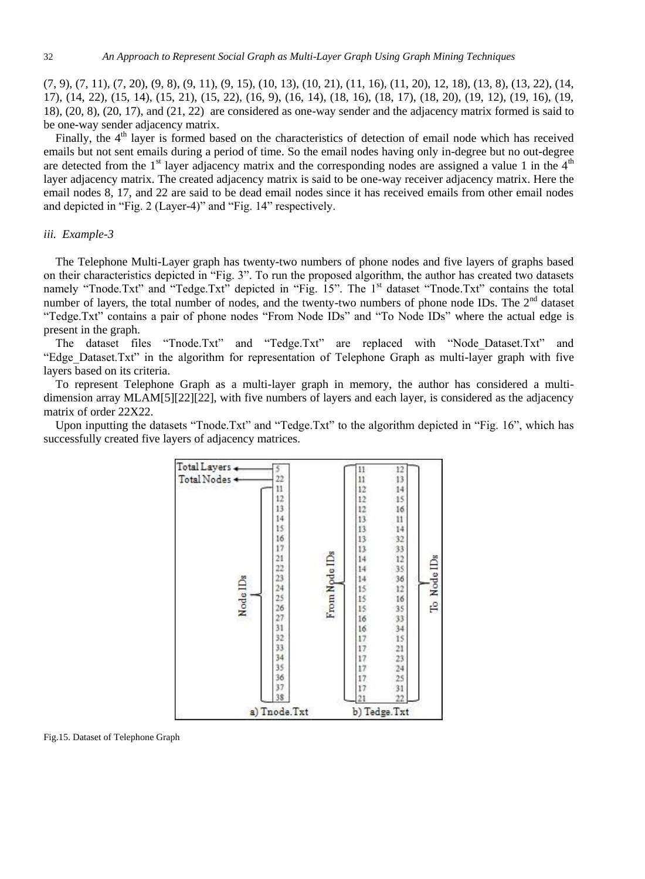$(7, 9)$ ,  $(7, 11)$ ,  $(7, 20)$ ,  $(9, 8)$ ,  $(9, 11)$ ,  $(9, 15)$ ,  $(10, 13)$ ,  $(10, 21)$ ,  $(11, 16)$ ,  $(11, 20)$ ,  $12, 18$ ),  $(13, 8)$ ,  $(13, 22)$ ,  $(14, 16)$ 17), (14, 22), (15, 14), (15, 21), (15, 22), (16, 9), (16, 14), (18, 16), (18, 17), (18, 20), (19, 12), (19, 16), (19, 18), (20, 8), (20, 17), and (21, 22) are considered as one-way sender and the adjacency matrix formed is said to be one-way sender adjacency matrix.

Finally, the 4<sup>th</sup> layer is formed based on the characteristics of detection of email node which has received emails but not sent emails during a period of time. So the email nodes having only in-degree but no out-degree are detected from the  $1<sup>st</sup>$  layer adjacency matrix and the corresponding nodes are assigned a value 1 in the  $4<sup>th</sup>$ layer adjacency matrix. The created adjacency matrix is said to be one-way receiver adjacency matrix. Here the email nodes 8, 17, and 22 are said to be dead email nodes since it has received emails from other email nodes and depicted in "Fig. 2 (Layer-4)" and "Fig. 14" respectively.

# *iii. Example-3*

The Telephone Multi-Layer graph has twenty-two numbers of phone nodes and five layers of graphs based on their characteristics depicted in "Fig. 3". To run the proposed algorithm, the author has created two datasets namely "Tnode.Txt" and "Tedge.Txt" depicted in "Fig. 15". The 1<sup>st</sup> dataset "Tnode.Txt" contains the total number of layers, the total number of nodes, and the twenty-two numbers of phone node IDs. The 2<sup>nd</sup> dataset "Tedge.Txt" contains a pair of phone nodes "From Node IDs" and "To Node IDs" where the actual edge is present in the graph.

The dataset files "Tnode.Txt" and "Tedge.Txt" are replaced with "Node\_Dataset.Txt" and "Edge\_Dataset.Txt" in the algorithm for representation of Telephone Graph as multi-layer graph with five layers based on its criteria.

To represent Telephone Graph as a multi-layer graph in memory, the author has considered a multidimension array MLAM[5][22][22], with five numbers of layers and each layer, is considered as the adjacency matrix of order 22X22.

Upon inputting the datasets "Tnode.Txt" and "Tedge.Txt" to the algorithm depicted in "Fig. 16", which has successfully created five layers of adjacency matrices.



Fig.15. Dataset of Telephone Graph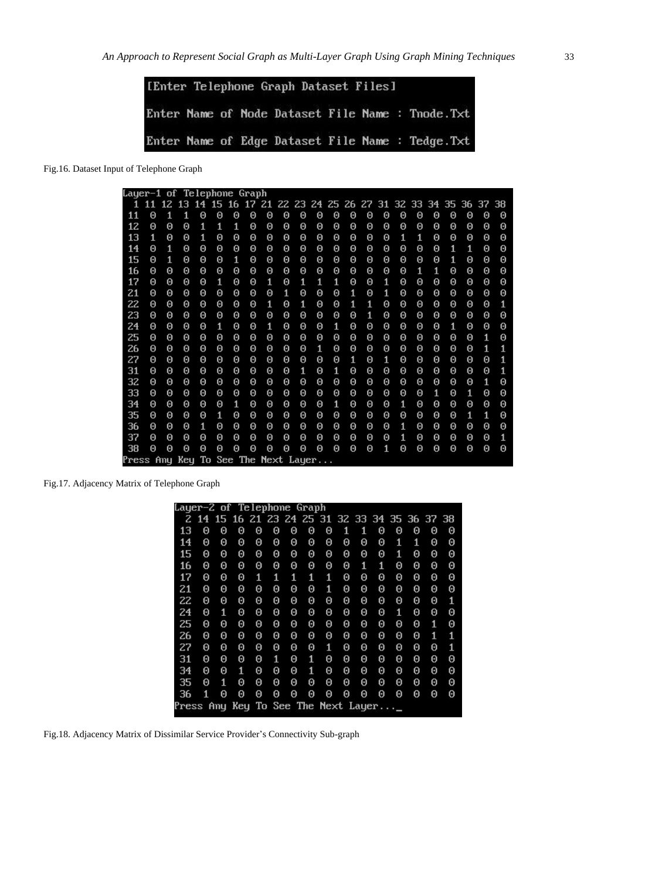| [Enter Telephone Graph Dataset Files] |  |  |  |  |  |  |                                                   |  |  |  |  |  |  |  |
|---------------------------------------|--|--|--|--|--|--|---------------------------------------------------|--|--|--|--|--|--|--|
|                                       |  |  |  |  |  |  | Enter Name of Node Dataset File Name : Tnode. Txt |  |  |  |  |  |  |  |
|                                       |  |  |  |  |  |  | Enter Name of Edge Dataset File Name : Tedge. Txt |  |  |  |  |  |  |  |

Fig.16. Dataset Input of Telephone Graph

| Layer-1 of Telephone Graph |                       |     |                                                          |          |                       |   |                       |   |          |          |          |                       |          |          |   |                       |   |                       |   |   |          |                       |
|----------------------------|-----------------------|-----|----------------------------------------------------------|----------|-----------------------|---|-----------------------|---|----------|----------|----------|-----------------------|----------|----------|---|-----------------------|---|-----------------------|---|---|----------|-----------------------|
| 1                          | 11                    |     | 12 13 14 15 16 17 21 22 23 24 25 26 27 31 32 33 34 35 36 |          |                       |   |                       |   |          |          |          |                       |          |          |   |                       |   |                       |   |   | 37 38    |                       |
| 11                         | Θ                     | 1   | 1                                                        | Θ        | Θ                     | Θ | Θ                     | Θ | 0        | Θ        | $\Theta$ | Θ                     | $\Theta$ | Θ        | Θ | Θ                     | Θ | 0                     | Θ | Θ | $\Theta$ | Θ                     |
| 12                         | Θ                     | Θ   | Θ                                                        | 1        | 1                     | 1 | Θ                     | Θ | Θ        | Θ        | Θ        | Θ                     | Θ        | Θ        | Θ | Θ                     | Θ | Θ                     | Θ | Θ | Θ        | Θ                     |
| 13                         | 1                     | Θ   | Θ                                                        | 1        | Θ                     | Θ | Θ                     | Θ | $\Theta$ | Θ        | Θ        | Θ                     | Θ        | Θ        | Θ | 1                     | 1 | Θ                     | Θ | Θ | Θ        | Θ                     |
| 14                         | Θ                     | 1   | Θ                                                        | $\Theta$ | Θ                     | Θ | Θ                     | Θ | 0        | Θ        | Θ        | Θ                     | Θ        | Θ        | Θ | Θ                     | Θ | 0                     | 1 | 1 | Θ        | Θ                     |
| 15                         | Θ                     | 1   | Θ                                                        | $\Theta$ | Θ                     | 1 | Θ                     | Θ | 0        | Θ        | Θ        | Θ                     | Θ        | Θ        | Θ | Θ                     | Θ | 0                     | 1 | Θ | Θ        | Θ                     |
| 16                         | Θ                     | Θ   | Θ                                                        | $\Theta$ | 0                     | Θ | Θ                     | Θ | 0        | Θ        | Θ        | Θ                     | Θ        | Θ        | Θ | Θ                     | 1 | 1                     | Θ | Θ | Θ        | Θ                     |
| 17                         | Θ                     | Θ   | Θ                                                        | $\Theta$ | 1                     | Θ | Θ                     | 1 | $\Theta$ | 1        | 1        | 1                     | Θ        | Θ        | 1 | 0                     | Θ | 0                     | Θ | Θ | Θ        | Θ                     |
| 21                         | Θ                     | Θ   | Θ                                                        | $\Theta$ | $\Theta$              | Θ | Θ                     | Θ | 1        | Θ        | Θ        | 0                     | 1        | Θ        | 1 | Θ                     | Θ | 0                     | Θ | Θ | Θ        | Θ                     |
| 22                         | 0                     | Θ   | Θ                                                        | $\Theta$ | 0                     | Θ | Θ                     | 1 | $\Theta$ | 1        | Θ        | Θ                     | 1        | 1        | Θ | Θ                     | Θ | 0                     | Θ | Θ | Θ        | 1                     |
| 23                         | 0                     | Θ   | Θ                                                        | $\Theta$ | $\boldsymbol{\Theta}$ | Θ | Θ                     | Θ | $\Theta$ | $\Theta$ | Θ        | Θ                     | Θ        | 1        | Θ | Θ                     | Θ | 0                     | Θ | Θ | Θ        | Θ                     |
| 24                         | 0                     | Θ   | Θ                                                        | $\Theta$ | 1                     | Θ | Θ                     | 1 | $\Theta$ | $\Theta$ | Θ        | 1                     | Θ        | Θ        | Θ | Θ                     | Θ | 0                     | 1 | Θ | Θ        | Θ                     |
| 25                         | 0                     | Θ   | Θ                                                        | $\Theta$ | $\boldsymbol{\Theta}$ | Θ | Θ                     | Θ | $\Theta$ | $\Theta$ | Θ        | Θ                     | Θ        | Θ        | Θ | Θ                     | Θ | 0                     | Θ | Θ | 1        | $\boldsymbol{\Theta}$ |
| 26                         | 0                     | Θ   | Θ                                                        | Θ        | 0                     | Θ | Θ                     | Θ | $\Theta$ | $\Theta$ | 1        | Θ                     | Θ        | $\Theta$ | Θ | Θ                     | Θ | 0                     | Θ | Θ | 1        | 1                     |
| 27                         | $\boldsymbol{\Theta}$ | Θ   | Θ                                                        | Θ        | $\boldsymbol{\Theta}$ | Θ | Θ                     | Θ | $\Theta$ | $\Theta$ | Θ        | $\boldsymbol{\Theta}$ | 1        | $\Theta$ | 1 | $\boldsymbol{\Theta}$ | Θ | 0                     | Θ | Θ | Θ        | 1                     |
| 31                         | 0                     | Θ   | Θ                                                        | $\Theta$ | 0                     | Θ | Θ                     | Θ | $\Theta$ | 1        | 0        | 1                     | Θ        | $\Theta$ | Θ | Θ                     | Θ | 0                     | Θ | Θ | Θ        | 1                     |
| 32                         | $\boldsymbol{\Theta}$ | Θ   | Θ                                                        | $\Theta$ | $\boldsymbol{\Theta}$ | Θ | Θ                     | Θ | $\Theta$ | $\Theta$ | Θ        | Θ                     | Θ        | $\Theta$ | Θ | Θ                     | Θ | $\boldsymbol{\Theta}$ | Θ | Θ | 1        | 0                     |
| 33                         | Θ                     | Θ   | Θ                                                        | $\Theta$ | Θ                     | Θ | Θ                     | Θ | $\Theta$ | Θ        | Θ        | Θ                     | Θ        | Θ        | Θ | Θ                     | Θ | 1                     | Θ | 1 | Θ        | Θ                     |
| 34                         | Θ                     | Θ   | Θ                                                        | $\Theta$ | Θ                     | 1 | Θ                     | Θ | 0        | Θ        | Θ        | 1                     | Θ        | Θ        | Θ | 1                     | Θ | 0                     | Θ | Θ | Θ        | Θ                     |
| 35                         | Θ                     | Θ   | Θ                                                        | $\Theta$ | 1                     | Θ | Θ                     | Θ | 0        | Θ        | Θ        | Θ                     | Θ        | Θ        | Θ | Θ                     | Θ | 0                     | Θ | 1 | 1        | Θ                     |
| 36                         | Θ                     | Θ   | Θ                                                        | 1        | $\boldsymbol{\Theta}$ | Θ | Θ                     | Θ | 0        | $\Theta$ | Θ        | Θ                     | Θ        | Θ        | Θ | 1                     | Θ | 0                     | Θ | Θ | Θ        | Θ                     |
| 37                         | $\boldsymbol{\Theta}$ | Θ   | Θ                                                        | $\Theta$ | Θ                     | Θ | Θ                     | Θ | 0        | Θ        | Θ        | Θ                     | Θ        | Θ        | Θ | 1                     | Θ | 0                     | Θ | Θ | Θ        | 1                     |
| 38                         | $\boldsymbol{\Theta}$ | Θ   | Θ                                                        | $\Theta$ | Θ                     | Θ | Θ                     | Θ | $\Theta$ | Θ        | Θ        | Θ                     | Θ        | Θ        | 1 | $\boldsymbol{\Theta}$ | Θ | 0                     | Θ | Θ | Θ        | Θ                     |
| Press                      |                       | Anu | Keu                                                      |          |                       |   | To See The Next Layer |   |          |          |          |                       |          |          |   |                       |   |                       |   |   |          |                       |

Fig.17. Adjacency Matrix of Telephone Graph

| Layer-2 of Telephone Graph           |    |   |   |                                           |   |   |   |   |   |   |   |   |   |   |   |
|--------------------------------------|----|---|---|-------------------------------------------|---|---|---|---|---|---|---|---|---|---|---|
| z                                    | 14 |   |   | 15 16 21 23 24 25 31 32 33 34 35 36 37 38 |   |   |   |   |   |   |   |   |   |   |   |
| 13                                   | 0  | 0 | Θ | 0                                         | Θ | 0 | 0 | 0 | 1 | 1 | 0 | 0 | 0 | 0 | 0 |
| 14                                   | 0  | 0 | 0 | Θ                                         | Θ | 0 | Θ | 0 | Θ | 0 | Θ | 1 | 1 | 0 | 0 |
| 15                                   | Θ  | Θ | Θ | Θ                                         | Θ | 0 | 0 | 0 | Θ | 0 | 0 | 1 | Θ | 0 | 0 |
| 16                                   | 0  | 0 | Θ | 0                                         | Θ | 0 | Θ | 0 | Θ | 1 | 1 | 0 | Θ | 0 | Θ |
| 17                                   | 0  | Θ | Θ | 1                                         | 1 | 1 | 1 | 1 | Θ | 0 | Θ | 0 | 0 | 0 | Θ |
| 21                                   | 0  | Θ | Θ | Θ                                         | Θ | Θ | 0 | 1 | Θ | Θ | 0 | Θ | Θ | Θ | 0 |
| 22                                   | Θ  | Θ | Θ | 0                                         | Θ | 0 | Θ | 0 | Θ | 0 | 0 | 0 | Θ | 0 | 1 |
| 24                                   | 0  | 1 | Θ | 0                                         | Θ | 0 | Θ | 0 | Θ | 0 | Θ | 1 | 0 | 0 | 0 |
| 25                                   | Θ  | Θ | Θ | Θ                                         | Θ | 0 | 0 | 0 | Θ | 0 | 0 | 0 | Θ | 1 | 0 |
| 26                                   | Θ  | Θ | Θ | 0                                         | Θ | Θ | Θ | 0 | Θ | Θ | Θ | 0 | Θ | 1 | 1 |
| 27                                   | Θ  | Θ | Θ | 0                                         | Θ | 0 | Θ | 1 | Θ | 0 | Θ | 0 | Θ | 0 | 1 |
| 31                                   | Θ  | Θ | Θ | Θ                                         | 1 | 0 | 1 | 0 | Θ | Θ | Θ | 0 | Θ | Θ | Θ |
| 34                                   | Θ  | Θ | 1 | Θ                                         | Θ | Θ | 1 | 0 | Θ | Θ | 0 | 0 | Θ | Θ | 0 |
| 35                                   | Θ  | 1 | Θ | 0                                         | Θ | Θ | 0 | 0 | Θ | Θ | 0 | 0 | Θ | 0 | 0 |
| 36                                   | 1  | Θ | Θ | 0                                         | Θ | 0 | Θ | 0 | Θ | 0 | Θ | 0 | 0 | 0 | 0 |
| Press Any Key To See The Next Layer_ |    |   |   |                                           |   |   |   |   |   |   |   |   |   |   |   |

Fig.18. Adjacency Matrix of Dissimilar Service Provider's Connectivity Sub-graph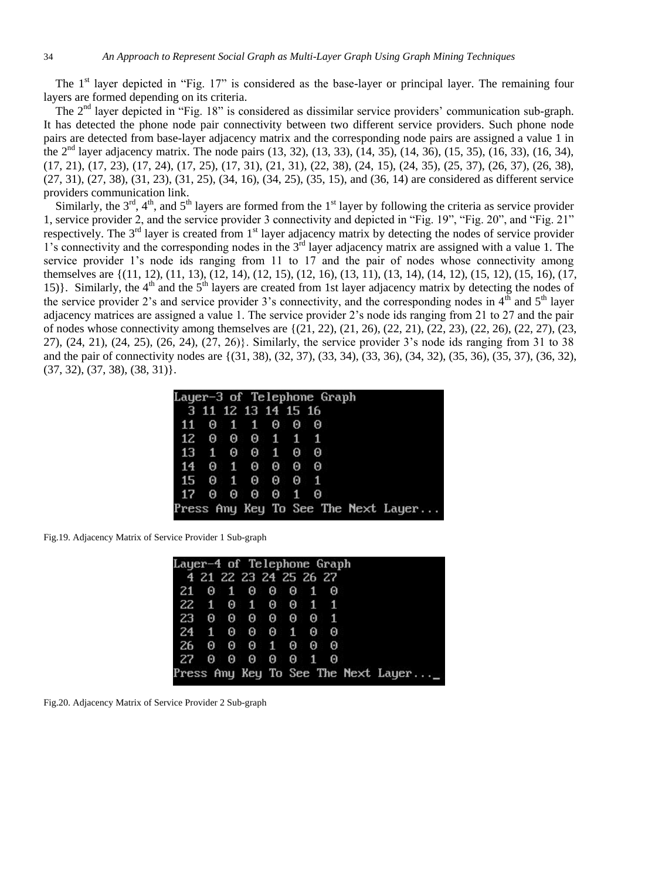The  $1<sup>st</sup>$  layer depicted in "Fig. 17" is considered as the base-layer or principal layer. The remaining four layers are formed depending on its criteria.

The  $2<sup>nd</sup>$  layer depicted in "Fig. 18" is considered as dissimilar service providers' communication sub-graph. It has detected the phone node pair connectivity between two different service providers. Such phone node pairs are detected from base-layer adjacency matrix and the corresponding node pairs are assigned a value 1 in the 2nd layer adjacency matrix. The node pairs (13, 32), (13, 33), (14, 35), (14, 36), (15, 35), (16, 33), (16, 34), (17, 21), (17, 23), (17, 24), (17, 25), (17, 31), (21, 31), (22, 38), (24, 15), (24, 35), (25, 37), (26, 37), (26, 38), (27, 31), (27, 38), (31, 23), (31, 25), (34, 16), (34, 25), (35, 15), and (36, 14) are considered as different service providers communication link.

Similarly, the  $3<sup>rd</sup>$ ,  $4<sup>th</sup>$ , and  $5<sup>th</sup>$  layers are formed from the 1<sup>st</sup> layer by following the criteria as service provider 1, service provider 2, and the service provider 3 connectivity and depicted in "Fig. 19", "Fig. 20", and "Fig. 21" respectively. The  $3<sup>rd</sup>$  layer is created from  $1<sup>st</sup>$  layer adjacency matrix by detecting the nodes of service provider 1's connectivity and the corresponding nodes in the 3<sup>rd</sup> layer adjacency matrix are assigned with a value 1. The service provider 1's node ids ranging from 11 to 17 and the pair of nodes whose connectivity among themselves are {(11, 12), (11, 13), (12, 14), (12, 15), (12, 16), (13, 11), (13, 14), (14, 12), (15, 12), (15, 16), (17, 15)}. Similarly, the  $4<sup>th</sup>$  and the  $5<sup>th</sup>$  layers are created from 1st layer adjacency matrix by detecting the nodes of the service provider 2's and service provider 3's connectivity, and the corresponding nodes in  $4<sup>th</sup>$  and  $5<sup>th</sup>$  layer adjacency matrices are assigned a value 1. The service provider 2's node ids ranging from 21 to 27 and the pair of nodes whose connectivity among themselves are {(21, 22), (21, 26), (22, 21), (22, 23), (22, 26), (22, 27), (23, 27), (24, 21), (24, 25), (26, 24), (27, 26)}. Similarly, the service provider 3's node ids ranging from 31 to 38 and the pair of connectivity nodes are {(31, 38), (32, 37), (33, 34), (33, 36), (34, 32), (35, 36), (35, 37), (36, 32),  $(37, 32), (37, 38), (38, 31).$ 

| Layer-3 of Telephone Graph |  |                   |  |   |              |                   |  |                                     |  |
|----------------------------|--|-------------------|--|---|--------------|-------------------|--|-------------------------------------|--|
| 3 11 12 13 14 15 16        |  |                   |  |   |              |                   |  |                                     |  |
| 11 0 1 1 0                 |  |                   |  |   |              | 00                |  |                                     |  |
| 12 0 0 0 1 1 1             |  |                   |  |   |              |                   |  |                                     |  |
| 13 1 0 0 1 0 0             |  |                   |  |   |              |                   |  |                                     |  |
| 14 0 1 0 0                 |  |                   |  |   |              | $\theta$ $\theta$ |  |                                     |  |
| 15 0 1 0 0 0 1             |  |                   |  |   |              |                   |  |                                     |  |
| 17 0                       |  | $\theta$ $\theta$ |  | Θ | $\mathbf{1}$ | - 0               |  |                                     |  |
|                            |  |                   |  |   |              |                   |  | Press Any Key To See The Next Layer |  |

Fig.19. Adjacency Matrix of Service Provider 1 Sub-graph

| Layer-4 of Telephone Graph |  |  |                  |  |  |  |  |  |                                      |  |
|----------------------------|--|--|------------------|--|--|--|--|--|--------------------------------------|--|
| 4 21 22 23 24 25 26 27     |  |  |                  |  |  |  |  |  |                                      |  |
| 21 0 1 0 0 0 1 0           |  |  |                  |  |  |  |  |  |                                      |  |
|                            |  |  | 22 1 0 1 0 0 1 1 |  |  |  |  |  |                                      |  |
|                            |  |  | 23 0 0 0 0 0 0 1 |  |  |  |  |  |                                      |  |
|                            |  |  | 24 1 0 0 0 1 0 0 |  |  |  |  |  |                                      |  |
| 26 0 0 0 1 0 0 0           |  |  |                  |  |  |  |  |  |                                      |  |
| 27 0 0 0 0 0 1 0           |  |  |                  |  |  |  |  |  |                                      |  |
|                            |  |  |                  |  |  |  |  |  | Press Any Key To See The Next Layer_ |  |

Fig.20. Adjacency Matrix of Service Provider 2 Sub-graph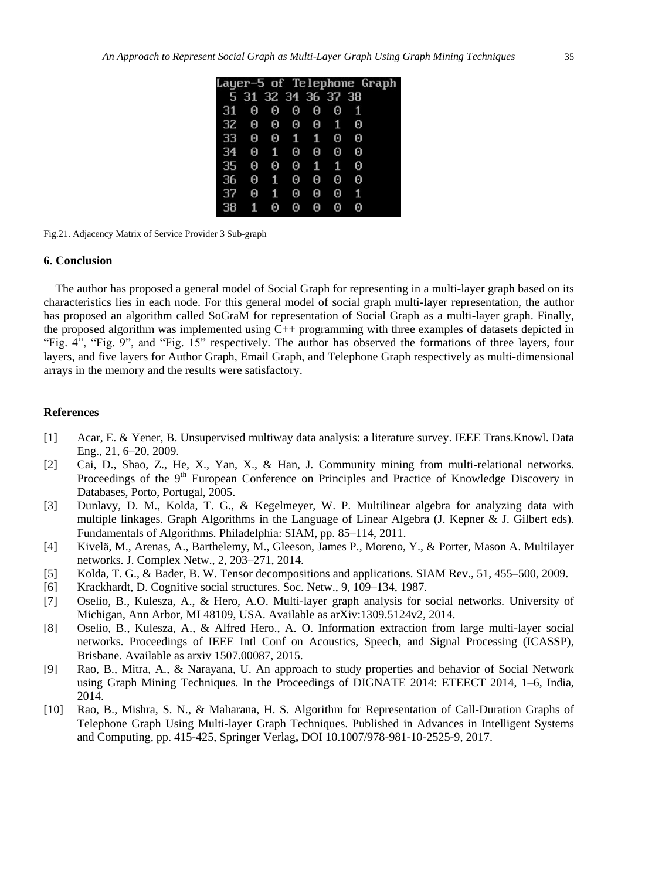|    |                     |                   |            |   |           |   | Layer-5 of Telephone Graph |
|----|---------------------|-------------------|------------|---|-----------|---|----------------------------|
|    | 5 31 32 34 36 37 38 |                   |            |   |           |   |                            |
| 31 | Θ                   | Θ                 | Θ          | 0 | Θ         | 1 |                            |
| 32 | Θ                   | $\Theta$ $\Theta$ |            |   | $0\quad1$ | Θ |                            |
| 33 | Θ                   |                   | $0\quad 1$ | 1 | - 0       | Θ |                            |
| 34 | Θ                   | $\mathbf{1}$      | Θ          | Θ | Θ         | Θ |                            |
| 35 | Θ                   | Θ                 | $\bullet$  | 1 | 1         | Θ |                            |
| 36 | Θ                   | 1                 | Θ          | Θ | Θ         | Θ |                            |
| 37 | Θ                   | 传                 | Θ          | 0 | Θ         | 1 |                            |
| 38 | 1                   | Θ                 | Θ          | 0 | Θ         | Θ |                            |

Fig.21. Adjacency Matrix of Service Provider 3 Sub-graph

#### **6. Conclusion**

The author has proposed a general model of Social Graph for representing in a multi-layer graph based on its characteristics lies in each node. For this general model of social graph multi-layer representation, the author has proposed an algorithm called SoGraM for representation of Social Graph as a multi-layer graph. Finally, the proposed algorithm was implemented using C++ programming with three examples of datasets depicted in "Fig. 4", "Fig. 9", and "Fig. 15" respectively. The author has observed the formations of three layers, four layers, and five layers for Author Graph, Email Graph, and Telephone Graph respectively as multi-dimensional arrays in the memory and the results were satisfactory.

## **References**

- [1] Acar, E. & Yener, B. Unsupervised multiway data analysis: a literature survey. IEEE Trans.Knowl. Data Eng., 21, 6–20, 2009.
- [2] Cai, D., Shao, Z., He, X., Yan, X., & Han, J. Community mining from multi-relational networks. Proceedings of the 9<sup>th</sup> European Conference on Principles and Practice of Knowledge Discovery in Databases, Porto, Portugal, 2005.
- [3] Dunlavy, D. M., Kolda, T. G., & Kegelmeyer, W. P. Multilinear algebra for analyzing data with multiple linkages. Graph Algorithms in the Language of Linear Algebra (J. Kepner & J. Gilbert eds). Fundamentals of Algorithms. Philadelphia: SIAM, pp. 85–114, 2011.
- [4] Kivelä, M., Arenas, A., Barthelemy, M., Gleeson, James P., Moreno, Y., & Porter, Mason A. Multilayer networks. J. Complex Netw., 2, 203–271, 2014.
- [5] Kolda, T. G., & Bader, B. W. Tensor decompositions and applications. SIAM Rev., 51, 455–500, 2009.
- [6] Krackhardt, D. Cognitive social structures. Soc. Netw., 9, 109–134, 1987.
- [7] Oselio, B., Kulesza, A., & Hero, A.O. Multi-layer graph analysis for social networks. University of Michigan, Ann Arbor, MI 48109, USA. Available as arXiv:1309.5124v2, 2014.
- [8] Oselio, B., Kulesza, A., & Alfred Hero., A. O. Information extraction from large multi-layer social networks. Proceedings of IEEE Intl Conf on Acoustics, Speech, and Signal Processing (ICASSP), Brisbane. Available as arxiv 1507.00087, 2015.
- [9] Rao, B., Mitra, A., & Narayana, U. An approach to study properties and behavior of Social Network using Graph Mining Techniques. In the Proceedings of DIGNATE 2014: ETEECT 2014, 1–6, India, 2014.
- [10] Rao, B., Mishra, S. N., & Maharana, H. S. Algorithm for Representation of Call-Duration Graphs of Telephone Graph Using Multi-layer Graph Techniques. Published in Advances in Intelligent Systems and Computing, pp. 415-425, Springer Verlag**,** DOI 10.1007/978-981-10-2525-9, 2017.